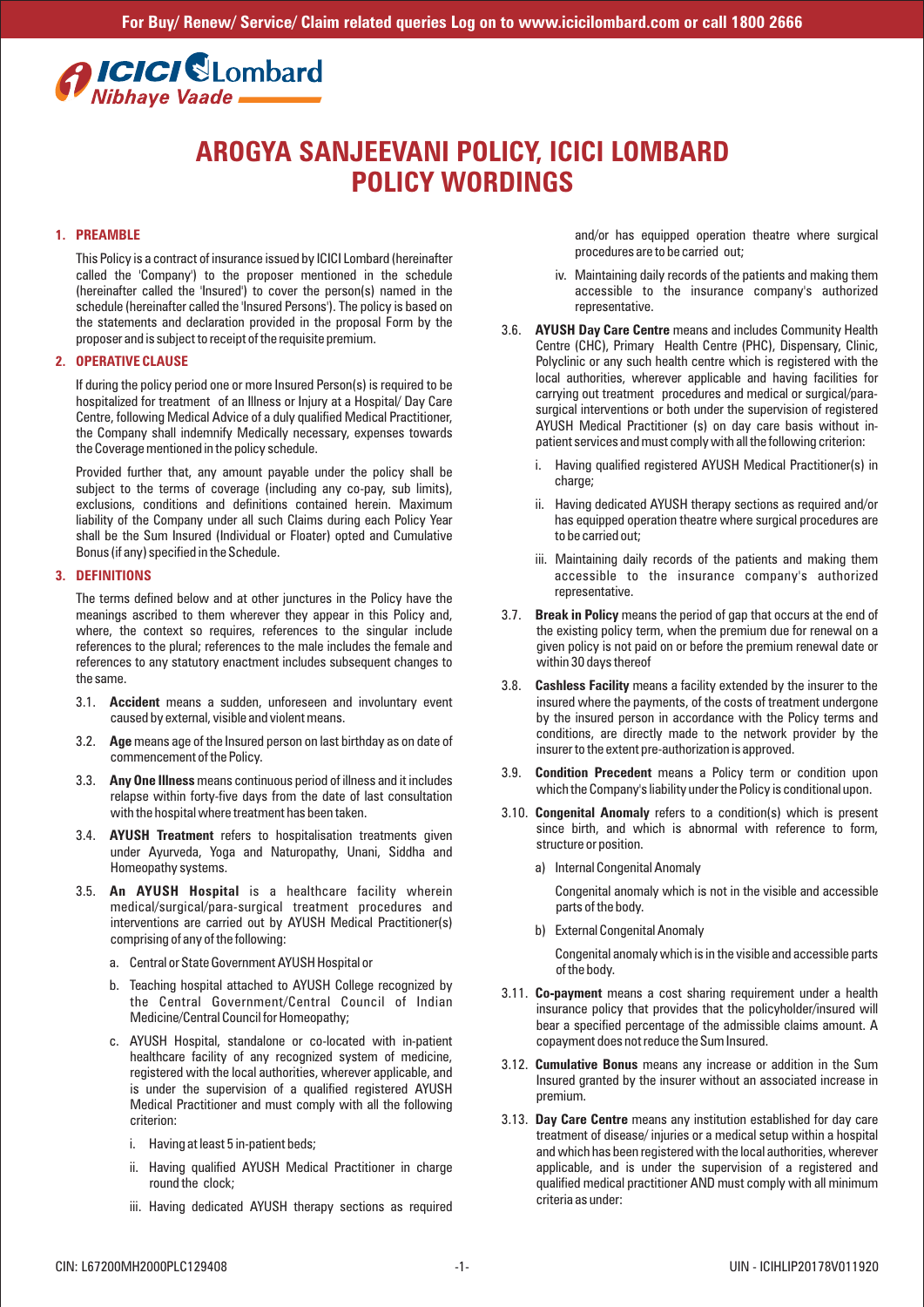# **Alcicl Clombard** Nibhaye Vaade

# **AROGYA SANJEEVANI POLICY, ICICI LOMBARD POLICY WORDINGS**

## **1. PREAMBLE**

This Policy is a contract of insurance issued by ICICI Lombard (hereinafter called the 'Company') to the proposer mentioned in the schedule (hereinafter called the 'Insured') to cover the person(s) named in the schedule (hereinafter called the 'Insured Persons'). The policy is based on the statements and declaration provided in the proposal Form by the proposer and is subject to receipt of the requisite premium.

#### **2. OPERATIVE CLAUSE**

If during the policy period one or more Insured Person(s) is required to be hospitalized for treatment of an Illness or Injury at a Hospital/ Day Care Centre, following Medical Advice of a duly qualified Medical Practitioner, the Company shall indemnify Medically necessary, expenses towards the Coverage mentioned in the policy schedule.

Provided further that, any amount payable under the policy shall be subject to the terms of coverage (including any co-pay, sub limits). exclusions, conditions and definitions contained herein. Maximum liability of the Company under all such Claims during each Policy Year shall be the Sum Insured (Individual or Floater) opted and Cumulative Bonus (if any) specified in the Schedule.

## **3. DEFINITIONS**

The terms defined below and at other junctures in the Policy have the meanings ascribed to them wherever they appear in this Policy and, where, the context so requires, references to the singular include references to the plural; references to the male includes the female and references to any statutory enactment includes subsequent changes to the same.

- 3.1. **Accident** means a sudden, unforeseen and involuntary event caused by external, visible and violent means.
- 3.2. **Age** means age of the Insured person on last birthday as on date of commencement of the Policy.
- 3.3. **Any One Illness** means continuous period of illness and it includes relapse within forty-five days from the date of last consultation with the hospital where treatment has been taken.
- 3.4. **AYUSH Treatment** refers to hospitalisation treatments given under Ayurveda, Yoga and Naturopathy, Unani, Siddha and Homeopathy systems.
- 3.5. **An AYUSH Hospital** is a healthcare facility wherein medical/surgical/para-surgical treatment procedures and interventions are carried out by AYUSH Medical Practitioner(s) comprising of any of the following:
	- a. Central or State Government AYUSH Hospital or
	- b. Teaching hospital attached to AYUSH College recognized by the Central Government/Central Council of Indian Medicine/Central Council for Homeopathy;
	- c. AYUSH Hospital, standalone or co-located with in-patient healthcare facility of any recognized system of medicine, registered with the local authorities, wherever applicable, and is under the supervision of a qualified registered AYUSH Medical Practitioner and must comply with all the following criterion:
		- i. Having at least 5 in-patient beds;
		- ii. Having qualified AYUSH Medical Practitioner in charge round the clock;
		- iii. Having dedicated AYUSH therapy sections as required

and/or has equipped operation theatre where surgical procedures are to be carried out;

- iv. Maintaining daily records of the patients and making them accessible to the insurance company's authorized representative.
- 3.6. **AYUSH Day Care Centre** means and includes Community Health Centre (CHC), Primary Health Centre (PHC), Dispensary, Clinic, Polyclinic or any such health centre which is registered with the local authorities, wherever applicable and having facilities for carrying out treatment procedures and medical or surgical/parasurgical interventions or both under the supervision of registered AYUSH Medical Practitioner (s) on day care basis without inpatient services and must comply with all the following criterion:
	- i. Having qualified registered AYUSH Medical Practitioner(s) in charge:
	- ii. Having dedicated AYUSH therapy sections as required and/or has equipped operation theatre where surgical procedures are to be carried out;
	- iii. Maintaining daily records of the patients and making them accessible to the insurance company's authorized representative.
- 3.7. **Break in Policy** means the period of gap that occurs at the end of the existing policy term, when the premium due for renewal on a given policy is not paid on or before the premium renewal date or within 30 days thereof
- 3.8. **Cashless Facility** means a facility extended by the insurer to the insured where the payments, of the costs of treatment undergone by the insured person in accordance with the Policy terms and conditions, are directly made to the network provider by the insurer to the extent pre-authorization is approved.
- 3.9. **Condition Precedent** means a Policy term or condition upon which the Company's liability under the Policy is conditional upon.
- 3.10. **Congenital Anomaly** refers to a condition(s) which is present since birth, and which is abnormal with reference to form, structure or position.
	- a) Internal Congenital Anomaly

Congenital anomaly which is not in the visible and accessible parts of the body.

b) External Congenital Anomaly

Congenital anomaly which is in the visible and accessible parts of the body.

- 3.11. **Co-payment** means a cost sharing requirement under a health insurance policy that provides that the policyholder/insured will bear a specified percentage of the admissible claims amount. A copayment does not reduce the Sum Insured.
- 3.12. **Cumulative Bonus** means any increase or addition in the Sum Insured granted by the insurer without an associated increase in premium.
- 3.13. **Day Care Centre** means any institution established for day care treatment of disease/ injuries or a medical setup within a hospital and which has been registered with the local authorities, wherever applicable, and is under the supervision of a registered and qualified medical practitioner AND must comply with all minimum criteria as under: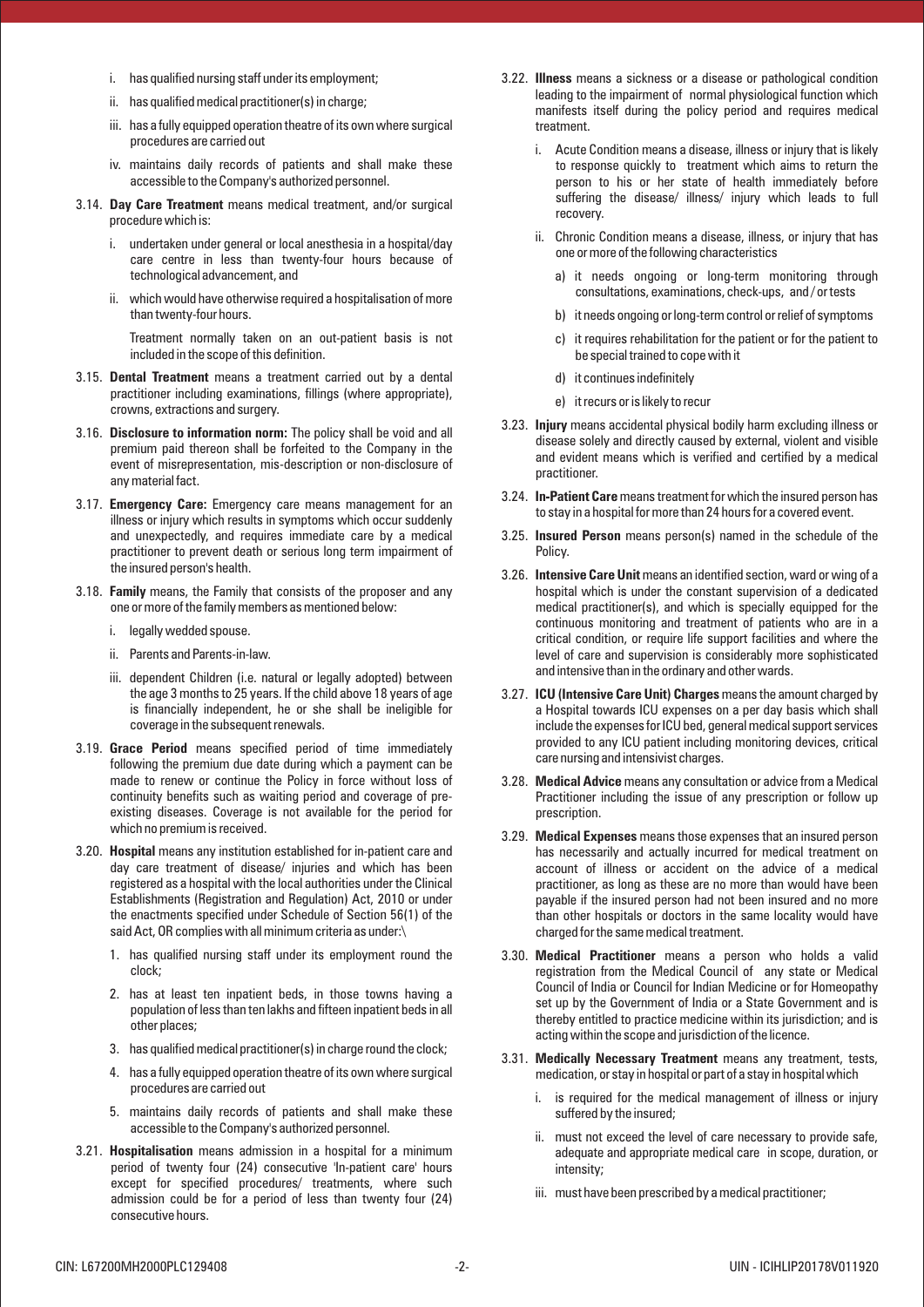- i. has qualified nursing staff under its employment;
- ii. has qualified medical practitioner(s) in charge;
- iii. has a fully equipped operation theatre of its own where surgical procedures are carried out
- iv. maintains daily records of patients and shall make these accessible to the Company's authorized personnel.
- 3.14. **Day Care Treatment** means medical treatment, and/or surgical procedure which is:
	- i. undertaken under general or local anesthesia in a hospital/day care centre in less than twenty-four hours because of technological advancement, and
	- ii. which would have otherwise required a hospitalisation of more than twenty-four hours.

Treatment normally taken on an out-patient basis is not included in the scope of this definition.

- 3.15. **Dental Treatment** means a treatment carried out by a dental practitioner including examinations, fillings (where appropriate), crowns, extractions and surgery.
- 3.16. **Disclosure to information norm:** The policy shall be void and all premium paid thereon shall be forfeited to the Company in the event of misrepresentation, mis-description or non-disclosure of any material fact.
- 3.17. **Emergency Care:** Emergency care means management for an illness or injury which results in symptoms which occur suddenly and unexpectedly, and requires immediate care by a medical practitioner to prevent death or serious long term impairment of the insured person's health.
- 3.18. **Family** means, the Family that consists of the proposer and any one or more of the family members as mentioned below:
	- i. legally wedded spouse.
	- ii. Parents and Parents-in-law.
	- iii. dependent Children (i.e. natural or legally adopted) between the age 3 months to 25 years. If the child above 18 years of age is financially independent, he or she shall be ineligible for coverage in the subsequent renewals.
- 3.19. **Grace Period** means specified period of time immediately following the premium due date during which a payment can be made to renew or continue the Policy in force without loss of continuity benefits such as waiting period and coverage of preexisting diseases. Coverage is not available for the period for which no premium is received.
- 3.20. **Hospital** means any institution established for in-patient care and day care treatment of disease/ injuries and which has been registered as a hospital with the local authorities under the Clinical Establishments (Registration and Regulation) Act, 2010 or under the enactments specified under Schedule of Section 56(1) of the said Act, OR complies with all minimum criteria as under:\
	- 1. has qualified nursing staff under its employment round the clock;
	- 2. has at least ten inpatient beds, in those towns having a population of less than ten lakhs and fifteen inpatient beds in all other places;
	- 3. has qualified medical practitioner(s) in charge round the clock;
	- 4. has a fully equipped operation theatre of its own where surgical procedures are carried out
	- 5. maintains daily records of patients and shall make these accessible to the Company's authorized personnel.
- 3.21. **Hospitalisation** means admission in a hospital for a minimum period of twenty four (24) consecutive 'In-patient care' hours except for specified procedures/ treatments, where such admission could be for a period of less than twenty four (24) consecutive hours.
- 3.22. **Illness** means a sickness or a disease or pathological condition leading to the impairment of normal physiological function which manifests itself during the policy period and requires medical treatment.
	- i. Acute Condition means a disease, illness or injury that is likely to response quickly to treatment which aims to return the person to his or her state of health immediately before suffering the disease/ illness/ injury which leads to full recovery.
	- ii. Chronic Condition means a disease, illness, or injury that has one or more of the following characteristics
		- a) it needs ongoing or long-term monitoring through consultations, examinations, check-ups, and / or tests
		- b) it needs ongoing or long-term control or relief of symptoms
		- c) it requires rehabilitation for the patient or for the patient to be special trained to cope with it
		- d) it continues indefinitely
		- e) it recurs or is likely to recur
- 3.23. **Injury** means accidental physical bodily harm excluding illness or disease solely and directly caused by external, violent and visible and evident means which is verified and certified by a medical practitioner.
- 3.24. **In-Patient Care** means treatment for which the insured person has to stay in a hospital for more than 24 hours for a covered event.
- 3.25. **Insured Person** means person(s) named in the schedule of the Policy.
- 3.26. **Intensive Care Unit** means an identified section, ward or wing of a hospital which is under the constant supervision of a dedicated medical practitioner(s), and which is specially equipped for the continuous monitoring and treatment of patients who are in a critical condition, or require life support facilities and where the level of care and supervision is considerably more sophisticated and intensive than in the ordinary and other wards.
- 3.27. **ICU (Intensive Care Unit) Charges** means the amount charged by a Hospital towards ICU expenses on a per day basis which shall include the expenses for ICU bed, general medical support services provided to any ICU patient including monitoring devices, critical care nursing and intensivist charges.
- 3.28. **Medical Advice** means any consultation or advice from a Medical Practitioner including the issue of any prescription or follow up prescription.
- 3.29. **Medical Expenses** means those expenses that an insured person has necessarily and actually incurred for medical treatment on account of illness or accident on the advice of a medical practitioner, as long as these are no more than would have been payable if the insured person had not been insured and no more than other hospitals or doctors in the same locality would have charged for the same medical treatment.
- 3.30. **Medical Practitioner** means a person who holds a valid registration from the Medical Council of any state or Medical Council of India or Council for Indian Medicine or for Homeopathy set up by the Government of India or a State Government and is thereby entitled to practice medicine within its jurisdiction; and is acting within the scope and jurisdiction of the licence.
- 3.31. **Medically Necessary Treatment** means any treatment, tests, medication, or stay in hospital or part of a stay in hospital which
	- i. is required for the medical management of illness or injury suffered by the insured;
	- ii. must not exceed the level of care necessary to provide safe, adequate and appropriate medical care in scope, duration, or intensity;
	- iii. must have been prescribed by a medical practitioner;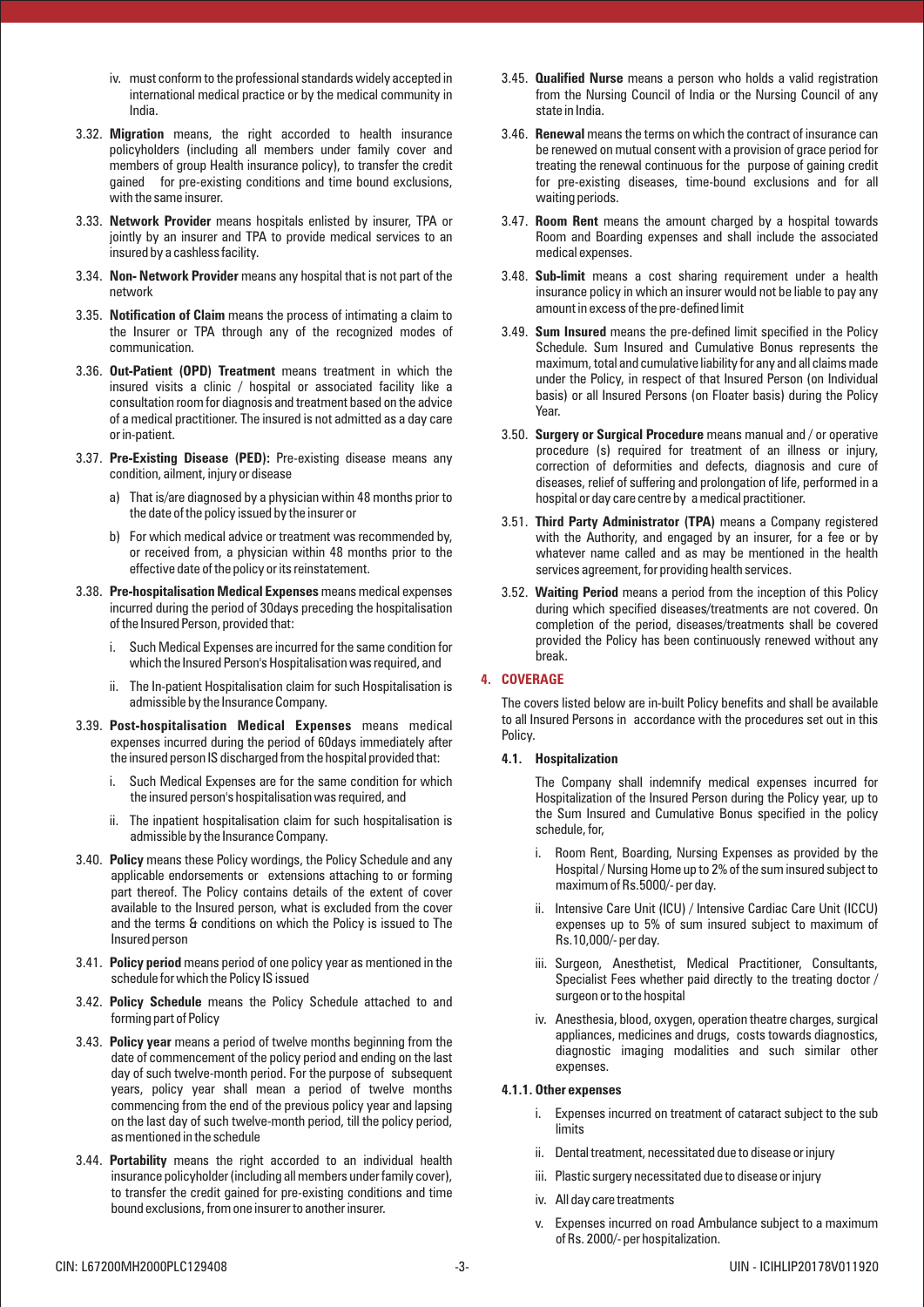- iv. must conform to the professional standards widely accepted in international medical practice or by the medical community in India.
- 3.32. **Migration** means, the right accorded to health insurance policyholders (including all members under family cover and members of group Health insurance policy), to transfer the credit gained for pre-existing conditions and time bound exclusions, with the same insurer.
- 3.33. **Network Provider** means hospitals enlisted by insurer, TPA or jointly by an insurer and TPA to provide medical services to an insured by a cashless facility.
- 3.34. **Non- Network Provider** means any hospital that is not part of the network
- 3.35. **Notification of Claim** means the process of intimating a claim to the Insurer or TPA through any of the recognized modes of communication.
- 3.36. **Out-Patient (OPD) Treatment** means treatment in which the insured visits a clinic / hospital or associated facility like a consultation room for diagnosis and treatment based on the advice of a medical practitioner. The insured is not admitted as a day care or in-patient.
- 3.37. **Pre-Existing Disease (PED):** Pre-existing disease means any condition, ailment, injury or disease
	- a) That is/are diagnosed by a physician within 48 months prior to the date of the policy issued by the insurer or
	- b) For which medical advice or treatment was recommended by, or received from, a physician within 48 months prior to the effective date of the policy or its reinstatement.
- 3.38. **Pre-hospitalisation Medical Expenses** means medical expenses incurred during the period of 30days preceding the hospitalisation of the Insured Person, provided that:
	- i. Such Medical Expenses are incurred for the same condition for which the Insured Person's Hospitalisation was required, and
	- ii. The In-patient Hospitalisation claim for such Hospitalisation is admissible by the Insurance Company.
- 3.39. **Post-hospitalisation Medical Expenses** means medical expenses incurred during the period of 60days immediately after the insured person IS discharged from the hospital provided that:
	- i. Such Medical Expenses are for the same condition for which the insured person's hospitalisation was required, and
	- ii. The inpatient hospitalisation claim for such hospitalisation is admissible by the Insurance Company.
- 3.40. **Policy** means these Policy wordings, the Policy Schedule and any applicable endorsements or extensions attaching to or forming part thereof. The Policy contains details of the extent of cover available to the Insured person, what is excluded from the cover and the terms & conditions on which the Policy is issued to The Insured person
- 3.41. **Policy period** means period of one policy year as mentioned in the schedule for which the Policy IS issued
- 3.42. **Policy Schedule** means the Policy Schedule attached to and forming part of Policy
- 3.43. **Policy year** means a period of twelve months beginning from the date of commencement of the policy period and ending on the last day of such twelve-month period. For the purpose of subsequent years, policy year shall mean a period of twelve months commencing from the end of the previous policy year and lapsing on the last day of such twelve-month period, till the policy period, as mentioned in the schedule
- 3.44. **Portability** means the right accorded to an individual health insurance policyholder (including all members under family cover), to transfer the credit gained for pre-existing conditions and time bound exclusions, from one insurer to another insurer.
- 3.45. **Qualified Nurse** means a person who holds a valid registration from the Nursing Council of India or the Nursing Council of any state in India.
- 3.46. **Renewal** means the terms on which the contract of insurance can be renewed on mutual consent with a provision of grace period for treating the renewal continuous for the purpose of gaining credit for pre-existing diseases, time-bound exclusions and for all waiting periods.
- 3.47. **Room Rent** means the amount charged by a hospital towards Room and Boarding expenses and shall include the associated medical expenses.
- 3.48. **Sub-limit** means a cost sharing requirement under a health insurance policy in which an insurer would not be liable to pay any amount in excess of the pre-defined limit
- 3.49. **Sum Insured** means the pre-defined limit specified in the Policy Schedule. Sum Insured and Cumulative Bonus represents the maximum, total and cumulative liability for any and all claims made under the Policy, in respect of that Insured Person (on Individual basis) or all Insured Persons (on Floater basis) during the Policy Year.
- 3.50. **Surgery or Surgical Procedure** means manual and / or operative procedure (s) required for treatment of an illness or injury, correction of deformities and defects, diagnosis and cure of diseases, relief of suffering and prolongation of life, performed in a hospital or day care centre by a medical practitioner.
- 3.51. **Third Party Administrator (TPA)** means a Company registered with the Authority, and engaged by an insurer, for a fee or by whatever name called and as may be mentioned in the health services agreement, for providing health services.
- 3.52. **Waiting Period** means a period from the inception of this Policy during which specified diseases/treatments are not covered. On completion of the period, diseases/treatments shall be covered provided the Policy has been continuously renewed without any break.

## **4. COVERAGE**

The covers listed below are in-built Policy benefits and shall be available to all Insured Persons in accordance with the procedures set out in this Policy.

## **4.1. Hospitalization**

The Company shall indemnify medical expenses incurred for Hospitalization of the Insured Person during the Policy year, up to the Sum Insured and Cumulative Bonus specified in the policy schedule, for,

- i. Room Rent, Boarding, Nursing Expenses as provided by the Hospital / Nursing Home up to 2% of the sum insured subject to maximum of Rs.5000/- per day.
- ii. Intensive Care Unit (ICU) / Intensive Cardiac Care Unit (ICCU) expenses up to 5% of sum insured subject to maximum of Rs.10,000/- per day.
- iii. Surgeon, Anesthetist, Medical Practitioner. Consultants. Specialist Fees whether paid directly to the treating doctor / surgeon or to the hospital
- iv. Anesthesia, blood, oxygen, operation theatre charges, surgical appliances, medicines and drugs, costs towards diagnostics, diagnostic imaging modalities and such similar other expenses.

## **4.1.1. Other expenses**

- i. Expenses incurred on treatment of cataract subject to the sub limits
- ii. Dental treatment, necessitated due to disease or injury
- iii. Plastic surgery necessitated due to disease or injury
- iv. All day care treatments
- v. Expenses incurred on road Ambulance subject to a maximum of Rs. 2000/- per hospitalization.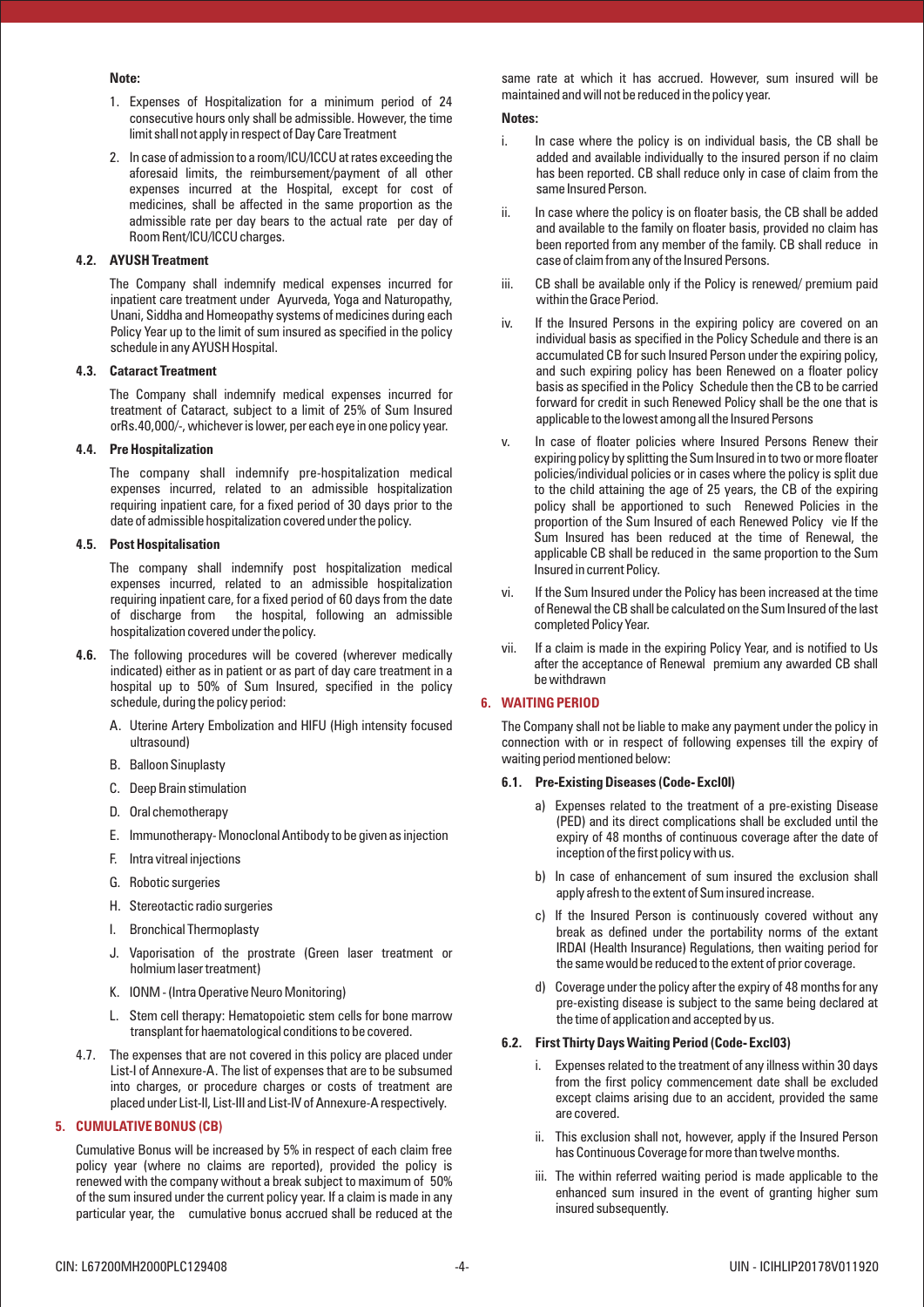#### **Note:**

- 1. Expenses of Hospitalization for a minimum period of 24 consecutive hours only shall be admissible. However, the time limit shall not apply in respect of Day Care Treatment
- 2. In case of admission to a room/lCU/ICCU at rates exceeding the aforesaid limits, the reimbursement/payment of all other expenses incurred at the Hospital, except for cost of medicines, shall be affected in the same proportion as the admissible rate per day bears to the actual rate per day of Room Rent/lCU/lCCU charges.

## **4.2. AYUSH Treatment**

The Company shall indemnify medical expenses incurred for inpatient care treatment under Ayurveda, Yoga and Naturopathy, Unani, Siddha and Homeopathy systems of medicines during each Policy Year up to the limit of sum insured as specified in the policy schedule in any AYUSH Hospital.

#### **4.3. Cataract Treatment**

The Company shall indemnify medical expenses incurred for treatment of Cataract, subject to a limit of 25% of Sum Insured orRs.40,000/-, whichever is lower, per each eye in one policy year.

#### **4.4. Pre Hospitalization**

The company shall indemnify pre-hospitalization medical expenses incurred, related to an admissible hospitalization requiring inpatient care, for a fixed period of 30 days prior to the date of admissible hospitalization covered under the policy.

## **4.5. Post Hospitalisation**

The company shall indemnify post hospitalization medical expenses incurred, related to an admissible hospitalization requiring inpatient care, for a fixed period of 60 days from the date of discharge from the hospital, following an admissible hospitalization covered under the policy.

- **4.6.** The following procedures will be covered (wherever medically indicated) either as in patient or as part of day care treatment in a hospital up to 50% of Sum Insured, specified in the policy schedule, during the policy period:
	- A. Uterine Artery Embolization and HIFU (High intensity focused ultrasound)
	- B. Balloon Sinuplasty
	- C. Deep Brain stimulation
	- D. Oral chemotherapy
	- E. Immunotherapy- Monoclonal Antibody to be given as injection
	- F. Intra vitreal injections
	- G. Robotic surgeries
	- H. Stereotactic radio surgeries
	- I. Bronchical Thermoplasty
	- J. Vaporisation of the prostrate (Green laser treatment or holmium laser treatment)
	- K. IONM (Intra Operative Neuro Monitoring)
	- L. Stem cell therapy: Hematopoietic stem cells for bone marrow transplant for haematological conditions to be covered.
- 4.7. The expenses that are not covered in this policy are placed under List-I of Annexure-A. The list of expenses that are to be subsumed into charges, or procedure charges or costs of treatment are placed under List-Il, List-III and List-IV of Annexure-A respectively.

## **5. CUMULATIVE BONUS (CB)**

Cumulative Bonus will be increased by 5% in respect of each claim free policy year (where no claims are reported), provided the policy is renewed with the company without a break subject to maximum of 50% of the sum insured under the current policy year. If a claim is made in any particular year, the cumulative bonus accrued shall be reduced at the same rate at which it has accrued. However, sum insured will be maintained and will not be reduced in the policy year.

#### **Notes:**

- i. In case where the policy is on individual basis, the CB shall be added and available individually to the insured person if no claim has been reported. CB shall reduce only in case of claim from the same Insured Person.
- ii. In case where the policy is on floater basis, the CB shall be added and available to the family on floater basis, provided no claim has been reported from any member of the family. CB shall reduce in case of claim from any of the Insured Persons.
- iii. CB shall be available only if the Policy is renewed/ premium paid within the Grace Period.
- iv. If the Insured Persons in the expiring policy are covered on an individual basis as specified in the Policy Schedule and there is an accumulated CB for such Insured Person under the expiring policy, and such expiring policy has been Renewed on a floater policy basis as specified in the Policy Schedule then the CB to be carried forward for credit in such Renewed Policy shall be the one that is applicable to the lowest among all the Insured Persons
- v. In case of floater policies where Insured Persons Renew their expiring policy by splitting the Sum Insured in to two or more floater policies/individual policies or in cases where the policy is split due to the child attaining the age of 25 years, the CB of the expiring policy shall be apportioned to such Renewed Policies in the proportion of the Sum Insured of each Renewed Policy vie If the Sum Insured has been reduced at the time of Renewal, the applicable CB shall be reduced in the same proportion to the Sum Insured in current Policy.
- vi. If the Sum Insured under the Policy has been increased at the time of Renewal the CB shall be calculated on the Sum Insured of the last completed Policy Year.
- vii. If a claim is made in the expiring Policy Year, and is notified to Us after the acceptance of Renewal premium any awarded CB shall be withdrawn

## **6. WAITING PERIOD**

The Company shall not be liable to make any payment under the policy in connection with or in respect of following expenses till the expiry of waiting period mentioned below:

#### **6.1. Pre-Existing Diseases (Code- Excl0l)**

- a) Expenses related to the treatment of a pre-existing Disease (PED) and its direct complications shall be excluded until the expiry of 48 months of continuous coverage after the date of inception of the first policy with us.
- b) In case of enhancement of sum insured the exclusion shall apply afresh to the extent of Sum insured increase.
- c) If the Insured Person is continuously covered without any break as defined under the portability norms of the extant IRDAI (Health Insurance) Regulations, then waiting period for the same would be reduced to the extent of prior coverage.
- d) Coverage under the policy after the expiry of 48 months for any pre-existing disease is subject to the same being declared at the time of application and accepted by us.

## **6.2. First Thirty Days Waiting Period (Code- Excl03)**

- i. Expenses related to the treatment of any illness within 30 days from the first policy commencement date shall be excluded except claims arising due to an accident, provided the same are covered.
- ii. This exclusion shall not, however, apply if the Insured Person has Continuous Coverage for more than twelve months.
- iii. The within referred waiting period is made applicable to the enhanced sum insured in the event of granting higher sum insured subsequently.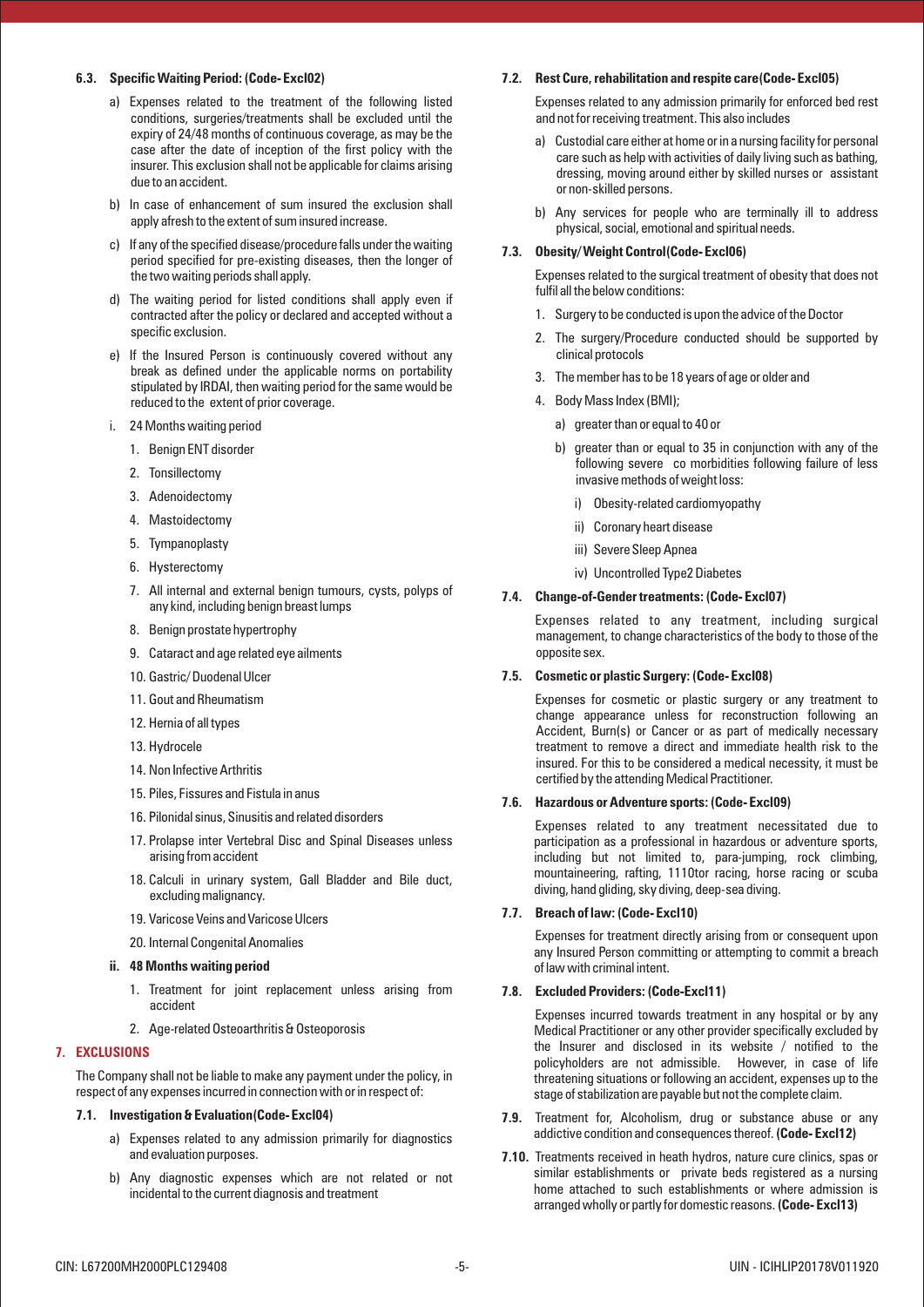## **6.3. Specific Waiting Period: (Code- Excl02)**

- a) Expenses related to the treatment of the following listed conditions, surgeries/treatments shall be excluded until the expiry of 24/48 months of continuous coverage, as may be the case after the date of inception of the first policy with the insurer. This exclusion shall not be applicable for claims arising due to an accident.
- b) In case of enhancement of sum insured the exclusion shall apply afresh to the extent of sum insured increase.
- c) If any of the specified disease/procedure falls under the waiting period specified for pre-existing diseases, then the longer of the two waiting periods shall apply.
- d) The waiting period for listed conditions shall apply even if contracted after the policy or declared and accepted without a specific exclusion.
- e) If the Insured Person is continuously covered without any break as defined under the applicable norms on portability stipulated by IRDAI, then waiting period for the same would be reduced to the extent of prior coverage.
- i. 24 Months waiting period
	- 1. Benign ENT disorder
	- 2. Tonsillectomy
	- 3. Adenoidectomy
	- 4. Mastoidectomy
	- 5. Tympanoplasty
	- 6. Hysterectomy
	- 7. All internal and external benign tumours, cysts, polyps of any kind, including benign breast lumps
	- 8. Benign prostate hypertrophy
	- 9. Cataract and age related eye ailments
	- 10. Gastric/ Duodenal Ulcer
	- 11. Gout and Rheumatism
	- 12. Hernia of all types
	- 13. Hydrocele
	- 14. Non Infective Arthritis
	- 15. Piles, Fissures and Fistula in anus
	- 16. Pilonidal sinus, Sinusitis and related disorders
	- 17. Prolapse inter Vertebral Disc and Spinal Diseases unless arising from accident
	- 18. Calculi in urinary system, Gall Bladder and Bile duct, excluding malignancy.
	- 19. Varicose Veins and Varicose Ulcers
	- 20. Internal Congenital Anomalies
- **ii. 48 Months waiting period**
	- 1. Treatment for joint replacement unless arising from accident
	- 2. Age-related Osteoarthritis & Osteoporosis

## **7. EXCLUSIONS**

The Company shall not be liable to make any payment under the policy, in respect of any expenses incurred in connection with or in respect of:

## **7.1. Investigation & Evaluation(Code- Excl04)**

- a) Expenses related to any admission primarily for diagnostics and evaluation purposes.
- b) Any diagnostic expenses which are not related or not incidental to the current diagnosis and treatment

#### **7.2. Rest Cure, rehabilitation and respite care(Code- Excl05)**

Expenses related to any admission primarily for enforced bed rest and not for receiving treatment. This also includes

- a) Custodial care either at home or in a nursing facility for personal care such as help with activities of daily living such as bathing, dressing, moving around either by skilled nurses or assistant or non-skilled persons.
- b) Any services for people who are terminally ill to address physical, social, emotional and spiritual needs.

#### **7.3. Obesity/ Weight Control(Code- Excl06)**

Expenses related to the surgical treatment of obesity that does not fulfil all the below conditions:

- 1. Surgery to be conducted is upon the advice of the Doctor
- 2. The surgery/Procedure conducted should be supported by clinical protocols
- 3. The member has to be 18 years of age or older and
- 4. Body Mass Index (BMI);
	- a) greater than or equal to 40 or
	- b) greater than or equal to 35 in conjunction with any of the following severe co morbidities following failure of less invasive methods of weight loss:
		- i) Obesity-related cardiomyopathy
		- ii) Coronary heart disease
		- iii) Severe Sleep Apnea
		- iv) Uncontrolled Type2 Diabetes

#### **7.4. Change-of-Gender treatments: (Code- Excl07)**

Expenses related to any treatment, including surgical management, to change characteristics of the body to those of the opposite sex.

#### **7.5. Cosmetic or plastic Surgery: (Code- Excl08)**

Expenses for cosmetic or plastic surgery or any treatment to change appearance unless for reconstruction following an Accident, Burn(s) or Cancer or as part of medically necessary treatment to remove a direct and immediate health risk to the insured. For this to be considered a medical necessity, it must be certified by the attending Medical Practitioner.

#### **7.6. Hazardous or Adventure sports: (Code- Excl09)**

Expenses related to any treatment necessitated due to participation as a professional in hazardous or adventure sports, including but not limited to, para-jumping, rock climbing, mountaineering, rafting, 1110tor racing, horse racing or scuba diving, hand gliding, sky diving, deep-sea diving.

## **7.7. Breach of law: (Code- Excl10)**

Expenses for treatment directly arising from or consequent upon any Insured Person committing or attempting to commit a breach of law with criminal intent.

## **7.8. Excluded Providers: (Code-Excl11)**

Expenses incurred towards treatment in any hospital or by any Medical Practitioner or any other provider specifically excluded by the Insurer and disclosed in its website / notified to the policyholders are not admissible. However, in case of life threatening situations or following an accident, expenses up to the stage of stabilization are payable but not the complete claim.

- **7.9.** Treatment for, Alcoholism, drug or substance abuse or any addictive condition and consequences thereof. **(Code- Excl12)**
- **7.10.** Treatments received in heath hydros, nature cure clinics, spas or similar establishments or private beds registered as a nursing home attached to such establishments or where admission is arranged wholly or partly for domestic reasons.**(Code- Excl13)**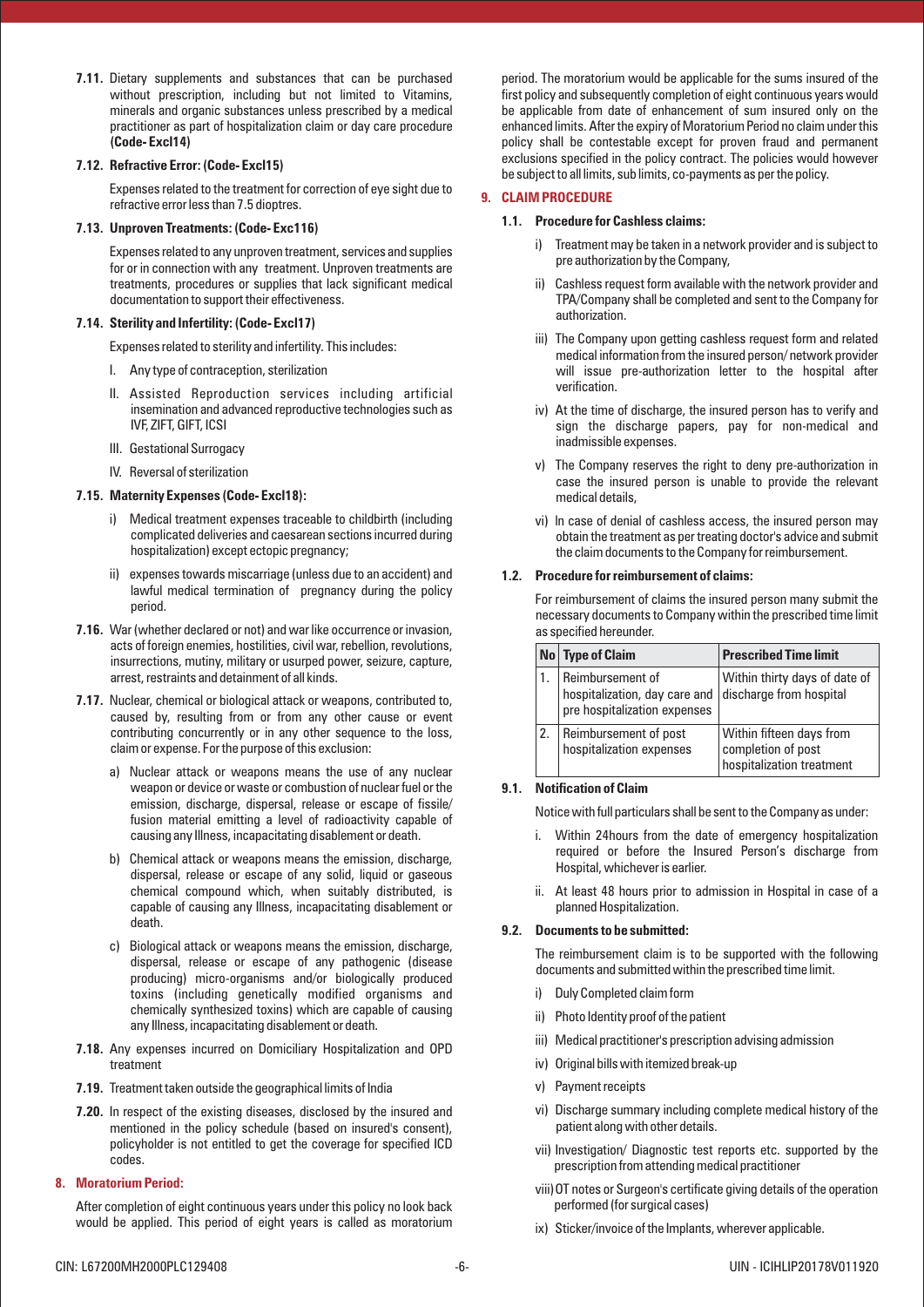**7.11.** Dietary supplements and substances that can be purchased without prescription, including but not limited to Vitamins, minerals and organic substances unless prescribed by a medical practitioner as part of hospitalization claim or day care procedure **(Code- Excl14)**

## **7.12. Refractive Error: (Code- Excl15)**

Expenses related to the treatment for correction of eye sight due to refractive error less than 7.5 dioptres.

#### **7.13. Unproven Treatments: (Code- Exc116)**

Expenses related to any unproven treatment, services and supplies for or in connection with any treatment. Unproven treatments are treatments, procedures or supplies that lack significant medical documentation to support their effectiveness.

## **7.14. Sterility and Infertility: (Code- Excl17)**

Expenses related to sterility and infertility. This includes:

- I. Any type of contraception, sterilization
- II. Assisted Reproduction services including artificial insemination and advanced reproductive technologies such as IVF, ZIFT, GIFT, ICSI
- III. Gestational Surrogacy
- IV. Reversal of sterilization

#### **7.15. Maternity Expenses (Code- Excl18):**

- i) Medical treatment expenses traceable to childbirth (including complicated deliveries and caesarean sections incurred during hospitalization) except ectopic pregnancy;
- ii) expenses towards miscarriage (unless due to an accident) and lawful medical termination of pregnancy during the policy period.
- **7.16.** War (whether declared or not) and war like occurrence or invasion, acts of foreign enemies, hostilities, civil war, rebellion, revolutions, insurrections, mutiny, military or usurped power, seizure, capture, arrest, restraints and detainment of all kinds.
- **7.17.** Nuclear, chemical or biological attack or weapons, contributed to, caused by, resulting from or from any other cause or event contributing concurrently or in any other sequence to the loss, claim or expense. For the purpose of this exclusion:
	- a) Nuclear attack or weapons means the use of any nuclear weapon or device or waste or combustion of nuclear fuel or the emission, discharge, dispersal, release or escape of fissile/ fusion material emitting a level of radioactivity capable of causing any Illness, incapacitating disablement or death.
	- b) Chemical attack or weapons means the emission, discharge, dispersal, release or escape of any solid, liquid or gaseous chemical compound which, when suitably distributed, is capable of causing any Illness, incapacitating disablement or death.
	- c) Biological attack or weapons means the emission, discharge, dispersal, release or escape of any pathogenic (disease producing) micro-organisms and/or biologically produced toxins (including genetically modified organisms and chemically synthesized toxins) which are capable of causing any Illness, incapacitating disablement or death.
- **7.18.** Any expenses incurred on Domiciliary Hospitalization and OPD treatment
- **7.19.** Treatment taken outside the geographical limits of India
- **7.20.** In respect of the existing diseases, disclosed by the insured and mentioned in the policy schedule (based on insured's consent), policyholder is not entitled to get the coverage for specified ICD codes.

#### **8. Moratorium Period:**

After completion of eight continuous years under this policy no look back would be applied. This period of eight years is called as moratorium period. The moratorium would be applicable for the sums insured of the first policy and subsequently completion of eight continuous years would be applicable from date of enhancement of sum insured only on the enhanced limits. After the expiry of Moratorium Period no claim under this policy shall be contestable except for proven fraud and permanent exclusions specified in the policy contract. The policies would however be subject to all limits, sub limits, co-payments as per the policy.

## **9. CLAIM PROCEDURE**

#### **1.1. Procedure for Cashless claims:**

- i) Treatment may be taken in a network provider and is subject to pre authorization by the Company,
- ii) Cashless request form available with the network provider and TPA/Company shall be completed and sent to the Company for authorization.
- iii) The Company upon getting cashless request form and related medical information from the insured person/ network provider will issue pre-authorization letter to the hospital after verification.
- iv) At the time of discharge, the insured person has to verify and sign the discharge papers, pay for non-medical and inadmissible expenses.
- v) The Company reserves the right to deny pre-authorization in case the insured person is unable to provide the relevant medical details,
- vi) ln case of denial of cashless access, the insured person may obtain the treatment as per treating doctor's advice and submit the claim documents to the Company for reimbursement.

#### **1.2. Procedure for reimbursement of claims:**

For reimbursement of claims the insured person many submit the necessary documents to Company within the prescribed time limit as specified hereunder.

| No   Type of Claim                                                                | <b>Prescribed Time limit</b>                                                |
|-----------------------------------------------------------------------------------|-----------------------------------------------------------------------------|
| Reimbursement of<br>hospitalization, day care and<br>pre hospitalization expenses | Within thirty days of date of<br>discharge from hospital                    |
| Reimbursement of post<br>hospitalization expenses                                 | Within fifteen days from<br>completion of post<br>hospitalization treatment |

## **9.1. Notification of Claim**

Notice with full particulars shall be sent to the Company as under:

- i. Within 24hours from the date of emergency hospitalization required or before the Insured Person's discharge from Hospital, whichever is earlier.
- ii. At least 48 hours prior to admission in Hospital in case of a planned Hospitalization.

#### **9.2. Documents to be submitted:**

The reimbursement claim is to be supported with the following documents and submitted within the prescribed time limit.

- i) Duly Completed claim form
- ii) Photo Identity proof of the patient
- iii) Medical practitioner's prescription advising admission
- iv) Original bills with itemized break-up
- v) Payment receipts
- vi) Discharge summary including complete medical history of the patient along with other details.
- vii) Investigation/ Diagnostic test reports etc. supported by the prescription from attending medical practitioner
- viii)OT notes or Surgeon's certificate giving details of the operation performed (for surgical cases)
- ix) Sticker/invoice of the Implants, wherever applicable.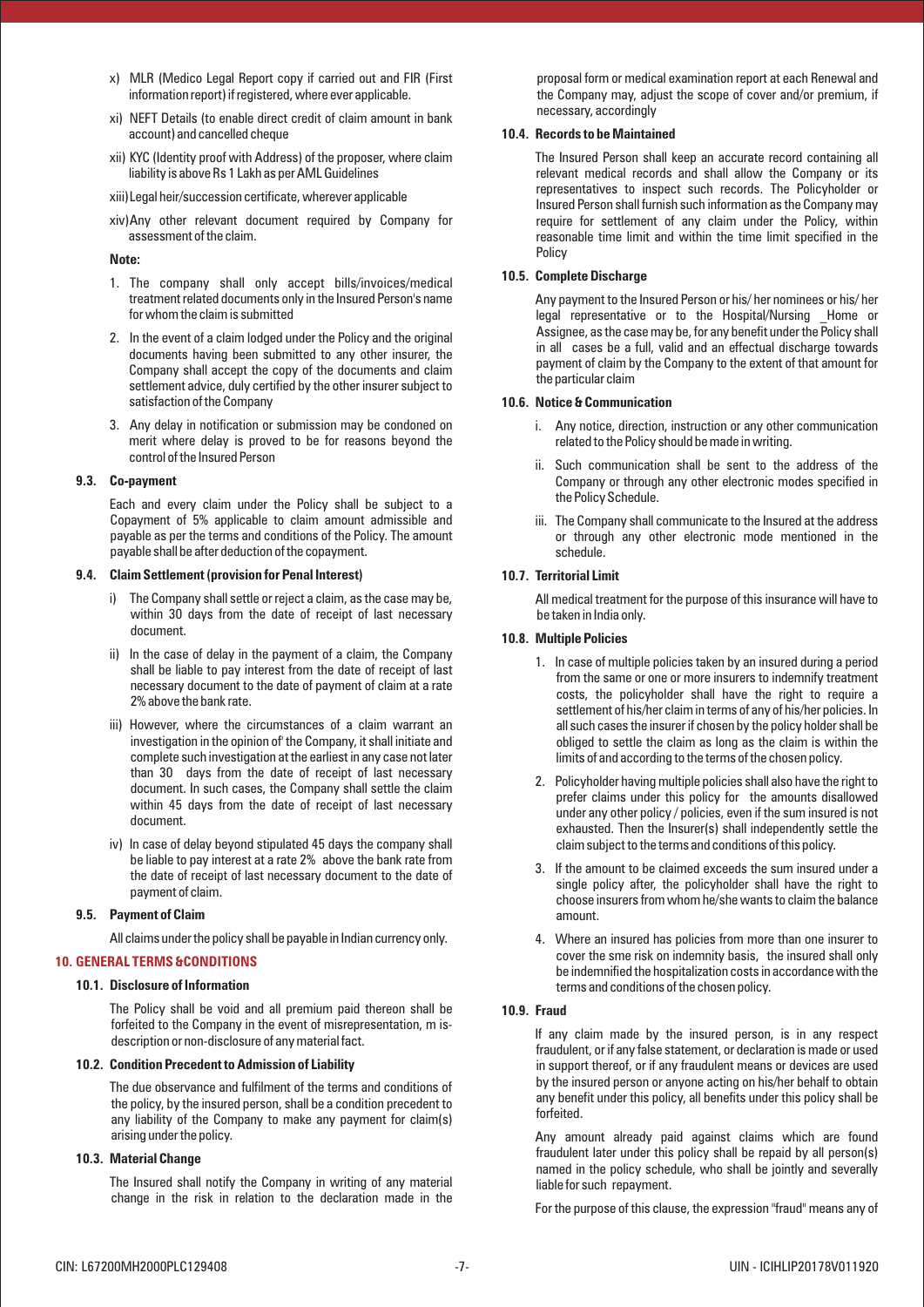- x) MLR (Medico Legal Report copy if carried out and FIR (First information report) if registered, where ever applicable.
- xi) NEFT Details (to enable direct credit of claim amount in bank account) and cancelled cheque
- xii) KYC (Identity proof with Address) of the proposer, where claim liability is above Rs 1 Lakh as per AML Guidelines
- xiii)Legal heir/succession certificate, wherever applicable
- xiv)Any other relevant document required by Company for assessment of the claim.

## **Note:**

- 1. The company shall only accept bills/invoices/medical treatment related documents only in the Insured Person's name for whom the claim is submitted
- 2. In the event of a claim lodged under the Policy and the original documents having been submitted to any other insurer, the Company shall accept the copy of the documents and claim settlement advice, duly certified by the other insurer subject to satisfaction of the Company
- 3. Any delay in notification or submission may be condoned on merit where delay is proved to be for reasons beyond the control of the Insured Person

## **9.3. Co-payment**

Each and every claim under the Policy shall be subject to a Copayment of 5% applicable to claim amount admissible and payable as per the terms and conditions of the Policy. The amount payable shall be after deduction of the copayment.

## **9.4. Claim Settlement (provision for Penal Interest)**

- i) The Company shall settle or reject a claim, as the case may be, within 30 days from the date of receipt of last necessary document.
- ii) In the case of delay in the payment of a claim, the Company shall be liable to pay interest from the date of receipt of last necessary document to the date of payment of claim at a rate 2% above the bank rate.
- iii) However, where the circumstances of a claim warrant an investigation in the opinion of' the Company, it shall initiate and complete such investigation at the earliest in any case not later than 30 days from the date of receipt of last necessary document. In such cases, the Company shall settle the claim within 45 days from the date of receipt of last necessary document.
- iv) In case of delay beyond stipulated 45 days the company shall be liable to pay interest at a rate 2% above the bank rate from the date of receipt of last necessary document to the date of payment of claim.

## **9.5. Payment of Claim**

All claims under the policy shall be payable in Indian currency only.

# **10. GENERAL TERMS &CONDITIONS**

## **10.1. Disclosure of Information**

The Policy shall be void and all premium paid thereon shall be forfeited to the Company in the event of misrepresentation, m isdescription or non-disclosure of any material fact.

## **10.2. Condition Precedent to Admission of Liability**

The due observance and fulfilment of the terms and conditions of the policy, by the insured person, shall be a condition precedent to any liability of the Company to make any payment for claim(s) arising under the policy.

## **10.3. Material Change**

The Insured shall notify the Company in writing of any material change in the risk in relation to the declaration made in the proposal form or medical examination report at each Renewal and the Company may, adjust the scope of cover and/or premium, if necessary, accordingly

## **10.4. Records to be Maintained**

The Insured Person shall keep an accurate record containing all relevant medical records and shall allow the Company or its representatives to inspect such records. The Policyholder or Insured Person shall furnish such information as the Company may require for settlement of any claim under the Policy, within reasonable time limit and within the time limit specified in the Policy

## **10.5. Complete Discharge**

Any payment to the Insured Person or his/ her nominees or his/ her legal representative or to the Hospital/Nursing Home or Assignee, as the case may be, for any benefit under the Policy shall in all cases be a full, valid and an effectual discharge towards payment of claim by the Company to the extent of that amount for the particular claim

## **10.6. Notice & Communication**

- i. Any notice, direction, instruction or any other communication related to the Policy should be made in writing.
- ii. Such communication shall be sent to the address of the Company or through any other electronic modes specified in the Policy Schedule.
- iii. The Company shall communicate to the Insured at the address or through any other electronic mode mentioned in the schedule.

## **10.7. Territorial Limit**

All medical treatment for the purpose of this insurance will have to be taken in India only.

## **10.8. Multiple Policies**

- 1. In case of multiple policies taken by an insured during a period from the same or one or more insurers to indemnify treatment costs, the policyholder shall have the right to require a settlement of his/her claim in terms of any of his/her policies. In all such cases the insurer if chosen by the policy holder shall be obliged to settle the claim as long as the claim is within the limits of and according to the terms of the chosen policy.
- 2. Policyholder having multiple policies shall also have the right to prefer claims under this policy for the amounts disallowed under any other policy / policies, even if the sum insured is not exhausted. Then the Insurer(s) shall independently settle the claim subject to the terms and conditions of this policy.
- 3. If the amount to be claimed exceeds the sum insured under a single policy after, the policyholder shall have the right to choose insurers from whom he/she wants to claim the balance amount.
- 4. Where an insured has policies from more than one insurer to cover the sme risk on indemnity basis, the insured shall only be indemnified the hospitalization costs in accordance with the terms and conditions of the chosen policy.

## **10.9. Fraud**

If any claim made by the insured person, is in any respect fraudulent, or if any false statement, or declaration is made or used in support thereof, or if any fraudulent means or devices are used by the insured person or anyone acting on his/her behalf to obtain any benefit under this policy, all benefits under this policy shall be forfeited.

Any amount already paid against claims which are found fraudulent later under this policy shall be repaid by all person(s) named in the policy schedule, who shall be jointly and severally liable for such repayment.

For the purpose of this clause, the expression "fraud" means any of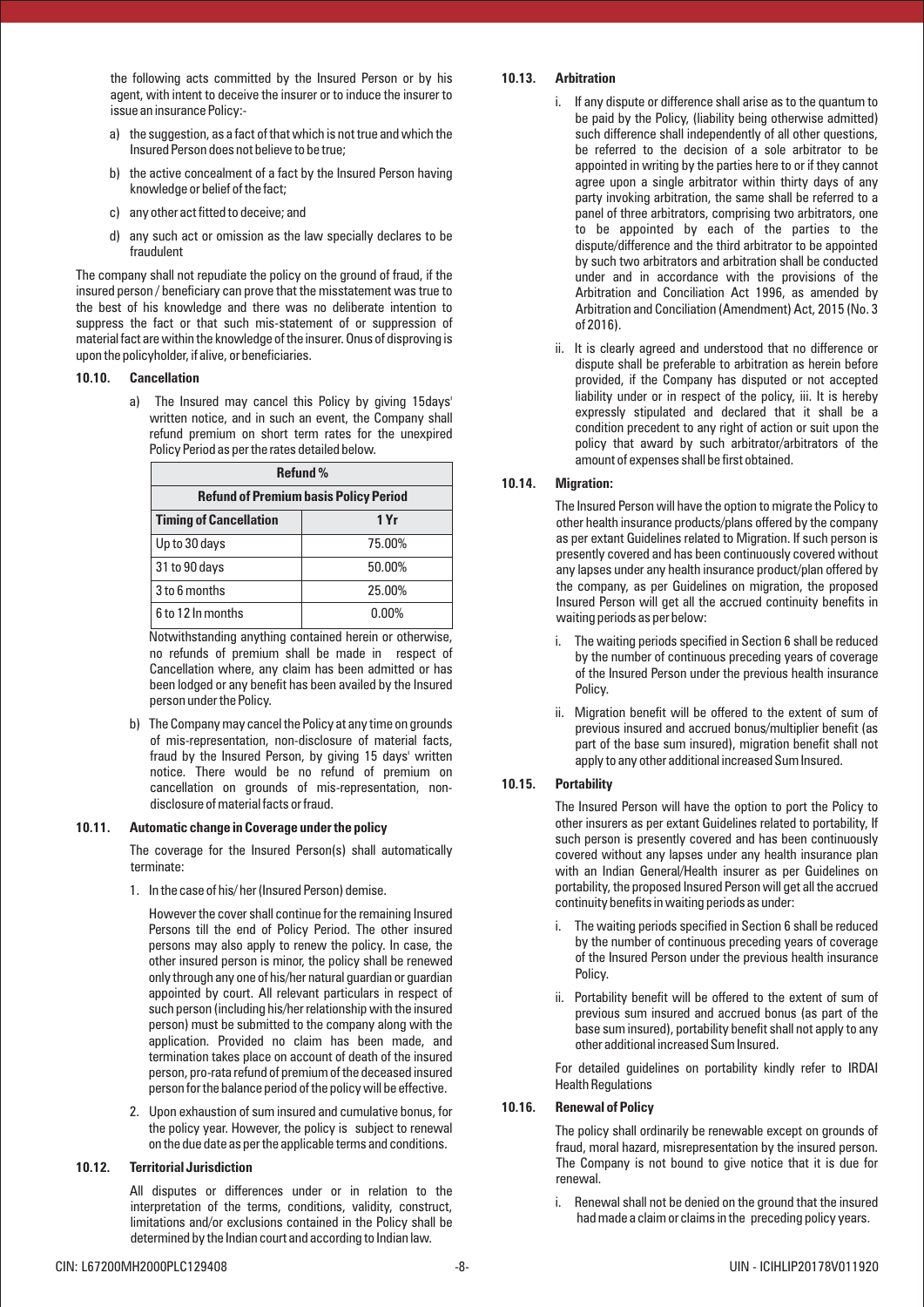the following acts committed by the Insured Person or by his agent, with intent to deceive the insurer or to induce the insurer to issue an insurance Policy:-

- a) the suggestion, as a fact of that which is not true and which the Insured Person does not believe to be true;
- b) the active concealment of a fact by the Insured Person having knowledge or belief of the fact;
- c) any other act fitted to deceive; and
- d) any such act or omission as the law specially declares to be fraudulent

The company shall not repudiate the policy on the ground of fraud, if the insured person / beneficiary can prove that the misstatement was true to the best of his knowledge and there was no deliberate intention to suppress the fact or that such mis-statement of or suppression of material fact are within the knowledge of the insurer. Onus of disproving is upon the policyholder, if alive, or beneficiaries.

#### **10.10. Cancellation**

a) The Insured may cancel this Policy by giving 15days' written notice, and in such an event, the Company shall refund premium on short term rates for the unexpired Policy Period as per the rates detailed below.

| <b>Refund %</b>                              |          |  |  |  |
|----------------------------------------------|----------|--|--|--|
| <b>Refund of Premium basis Policy Period</b> |          |  |  |  |
| <b>Timing of Cancellation</b>                | 1 Yr     |  |  |  |
| Up to 30 days                                | 75.00%   |  |  |  |
| 31 to 90 days                                | 50.00%   |  |  |  |
| 3 to 6 months                                | 25.00%   |  |  |  |
| 6 to 12 In months                            | $0.00\%$ |  |  |  |

Notwithstanding anything contained herein or otherwise, no refunds of premium shall be made in respect of Cancellation where, any claim has been admitted or has been lodged or any benefit has been availed by the Insured person under the Policy.

b) The Company may cancel the Policy at any time on grounds of mis-representation, non-disclosure of material facts, fraud by the Insured Person, by giving 15 days' written notice. There would be no refund of premium on cancellation on grounds of mis-representation, nondisclosure of material facts or fraud.

#### **10.11. Automatic change in Coverage under the policy**

The coverage for the Insured Person(s) shall automatically terminate:

1. In the case of his/ her (Insured Person) demise.

However the cover shall continue for the remaining Insured Persons till the end of Policy Period. The other insured persons may also apply to renew the policy. In case, the other insured person is minor, the policy shall be renewed only through any one of his/her natural guardian or guardian appointed by court. All relevant particulars in respect of such person (including his/her relationship with the insured person) must be submitted to the company along with the application. Provided no claim has been made, and termination takes place on account of death of the insured person, pro-rata refund of premium of the deceased insured person for the balance period of the policy will be effective.

2. Upon exhaustion of sum insured and cumulative bonus, for the policy year. However, the policy is subject to renewal on the due date as per the applicable terms and conditions.

### **10.12. Territorial Jurisdiction**

All disputes or differences under or in relation to the interpretation of the terms, conditions, validity, construct, limitations and/or exclusions contained in the Policy shall be determined by the Indian court and according to Indian law.

## **10.13. Arbitration**

- i. If any dispute or difference shall arise as to the quantum to be paid by the Policy, (liability being otherwise admitted) such difference shall independently of all other questions, be referred to the decision of a sole arbitrator to be appointed in writing by the parties here to or if they cannot agree upon a single arbitrator within thirty days of any party invoking arbitration, the same shall be referred to a panel of three arbitrators, comprising two arbitrators, one to be appointed by each of the parties to the dispute/difference and the third arbitrator to be appointed by such two arbitrators and arbitration shall be conducted under and in accordance with the provisions of the Arbitration and Conciliation Act 1996, as amended by Arbitration and Conciliation (Amendment) Act, 2015 (No. 3 of 2016).
- ii. It is clearly agreed and understood that no difference or dispute shall be preferable to arbitration as herein before provided, if the Company has disputed or not accepted liability under or in respect of the policy, iii. It is hereby expressly stipulated and declared that it shall be a condition precedent to any right of action or suit upon the policy that award by such arbitrator/arbitrators of the amount of expenses shall be first obtained.

## **10.14. Migration:**

The Insured Person will have the option to migrate the Policy to other health insurance products/plans offered by the company as per extant Guidelines related to Migration. If such person is presently covered and has been continuously covered without any lapses under any health insurance product/plan offered by the company, as per Guidelines on migration, the proposed Insured Person will get all the accrued continuity benefits in waiting periods as per below:

- i. The waiting periods specified in Section 6 shall be reduced by the number of continuous preceding years of coverage of the Insured Person under the previous health insurance Policy.
- ii. Migration benefit will be offered to the extent of sum of previous insured and accrued bonus/multiplier benefit (as part of the base sum insured), migration benefit shall not apply to any other additional increased Sum Insured.

## **10.15. Portability**

The Insured Person will have the option to port the Policy to other insurers as per extant Guidelines related to portability, If such person is presently covered and has been continuously covered without any lapses under any health insurance plan with an Indian General/Health insurer as per Guidelines on portability, the proposed Insured Person will get all the accrued continuity benefits in waiting periods as under:

- i. The waiting periods specified in Section 6 shall be reduced by the number of continuous preceding years of coverage of the Insured Person under the previous health insurance Policy.
- ii. Portability benefit will be offered to the extent of sum of previous sum insured and accrued bonus (as part of the base sum insured), portability benefit shall not apply to any other additional increased Sum Insured.

For detailed guidelines on portability kindly refer to IRDAI Health Regulations

## **10.16. Renewal of Policy**

The policy shall ordinarily be renewable except on grounds of fraud, moral hazard, misrepresentation by the insured person. The Company is not bound to give notice that it is due for renewal.

i. Renewal shall not be denied on the ground that the insured had made a claim or claims in the preceding policy years.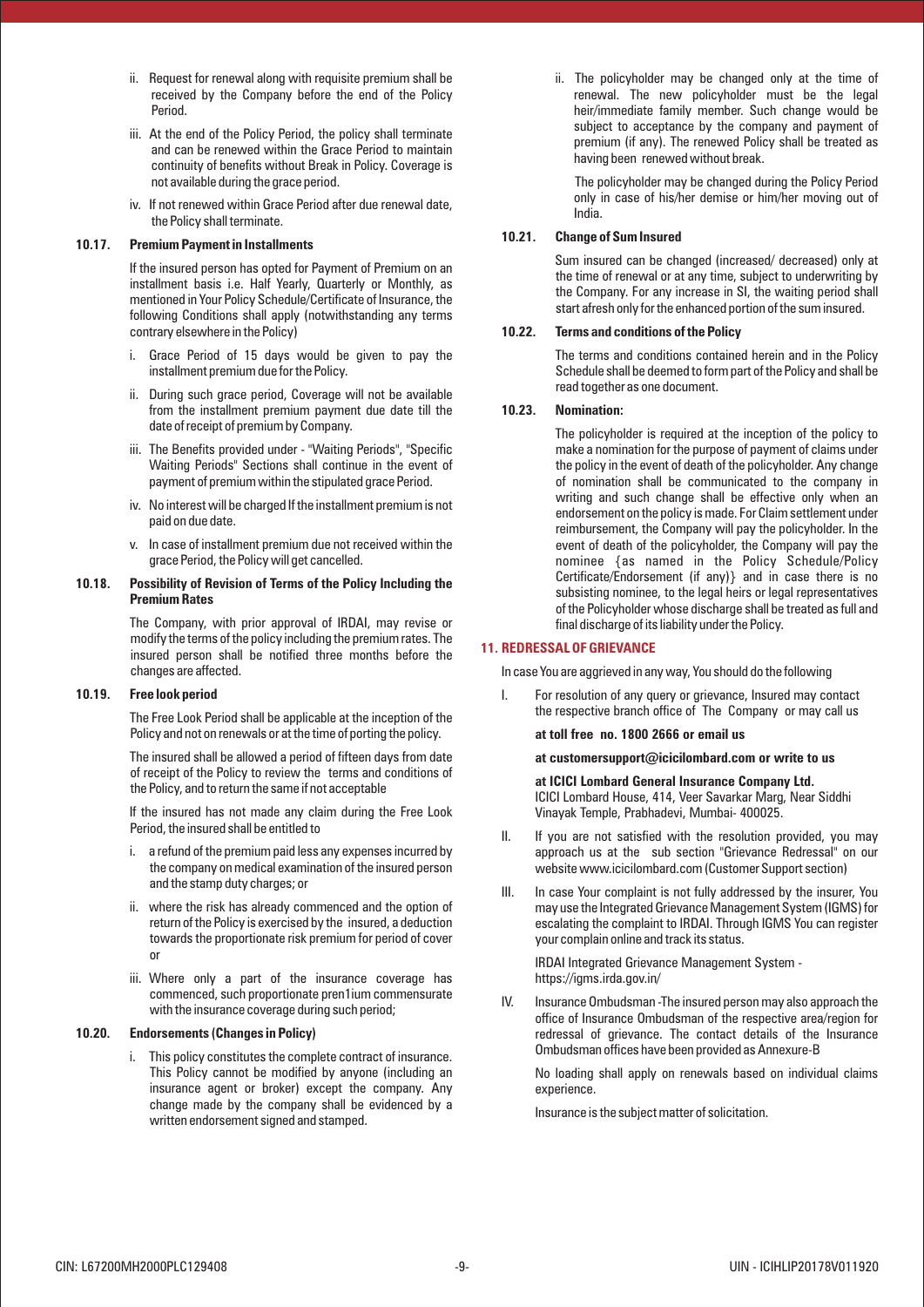- ii. Request for renewal along with requisite premium shall be received by the Company before the end of the Policy Period.
- iii. At the end of the Policy Period, the policy shall terminate and can be renewed within the Grace Period to maintain continuity of benefits without Break in Policy. Coverage is not available during the grace period.
- iv. If not renewed within Grace Period after due renewal date, the Policy shall terminate.

#### **10.17. Premium Payment in Installments**

If the insured person has opted for Payment of Premium on an installment basis i.e. Half Yearly, Quarterly or Monthly, as mentioned in Your Policy Schedule/Certificate of Insurance, the following Conditions shall apply (notwithstanding any terms contrary elsewhere in the Policy)

- i. Grace Period of 15 days would be given to pay the installment premium due for the Policy.
- ii. During such grace period, Coverage will not be available from the installment premium payment due date till the date of receipt of premium by Company.
- iii. The Benefits provided under "Waiting Periods", "Specific Waiting Periods" Sections shall continue in the event of payment of premium within the stipulated grace Period.
- iv. No interest will be charged If the installment premium is not paid on due date.
- v. In case of installment premium due not received within the grace Period, the Policy will get cancelled.

#### **10.18. Possibility of Revision of Terms of the Policy Including the Premium Rates**

The Company, with prior approval of IRDAI, may revise or modify the terms of the policy including the premium rates. The insured person shall be notified three months before the changes are affected.

#### **10.19. Free look period**

The Free Look Period shall be applicable at the inception of the Policy and not on renewals or at the time of porting the policy.

The insured shall be allowed a period of fifteen days from date of receipt of the Policy to review the terms and conditions of the Policy, and to return the same if not acceptable

If the insured has not made any claim during the Free Look Period, the insured shall be entitled to

- i. a refund of the premium paid less any expenses incurred by the company on medical examination of the insured person and the stamp duty charges; or
- ii. where the risk has already commenced and the option of return of the Policy is exercised by the insured, a deduction towards the proportionate risk premium for period of cover or
- iii. Where only a part of the insurance coverage has commenced, such proportionate pren1ium commensurate with the insurance coverage during such period;

#### **10.20. Endorsements (Changes in Policy)**

i. This policy constitutes the complete contract of insurance. This Policy cannot be modified by anyone (including an insurance agent or broker) except the company. Any change made by the company shall be evidenced by a written endorsement signed and stamped.

ii. The policyholder may be changed only at the time of renewal. The new policyholder must be the legal heir/immediate family member. Such change would be subject to acceptance by the company and payment of premium (if any). The renewed Policy shall be treated as having been renewed without break.

The policyholder may be changed during the Policy Period only in case of his/her demise or him/her moving out of India.

## **10.21. Change of Sum Insured**

Sum insured can be changed (increased/ decreased) only at the time of renewal or at any time, subject to underwriting by the Company. For any increase in SI, the waiting period shall start afresh only for the enhanced portion of the sum insured.

## **10.22. Terms and conditions of the Policy**

The terms and conditions contained herein and in the Policy Schedule shall be deemed to form part of the Policy and shall be read together as one document.

#### **10.23. Nomination:**

The policyholder is required at the inception of the policy to make a nomination for the purpose of payment of claims under the policy in the event of death of the policyholder. Any change of nomination shall be communicated to the company in writing and such change shall be effective only when an endorsement on the policy is made. For Claim settlement under reimbursement, the Company will pay the policyholder. In the event of death of the policyholder, the Company will pay the nominee {as named in the Policy Schedule/Policy Certificate/Endorsement (if any)} and in case there is no subsisting nominee, to the legal heirs or legal representatives of the Policyholder whose discharge shall be treated as full and final discharge of its liability under the Policy.

## **11. REDRESSAL OF GRIEVANCE**

In case You are aggrieved in any way, You should do the following

I. For resolution of any query or grievance, Insured may contact the respective branch office of The Company or may call us

**at toll free no. 1800 2666 or email us** 

## **at customersupport@icicilombard.com or write to us**

**at ICICI Lombard General Insurance Company Ltd.** ICICI Lombard House, 414, Veer Savarkar Marg, Near Siddhi Vinayak Temple, Prabhadevi, Mumbai- 400025.

- II. If you are not satisfied with the resolution provided, you may approach us at the sub section "Grievance Redressal" on our website www.icicilombard.com (Customer Support section)
- III. In case Your complaint is not fully addressed by the insurer, You may use the Integrated Grievance Management System (IGMS) for escalating the complaint to IRDAI. Through IGMS You can register your complain online and track its status.

IRDAI Integrated Grievance Management System https://igms.irda.gov.in/

IV. Insurance Ombudsman -The insured person may also approach the office of Insurance Ombudsman of the respective area/region for redressal of grievance. The contact details of the Insurance Ombudsman offices have been provided as Annexure-B

No loading shall apply on renewals based on individual claims experience.

Insurance is the subject matter of solicitation.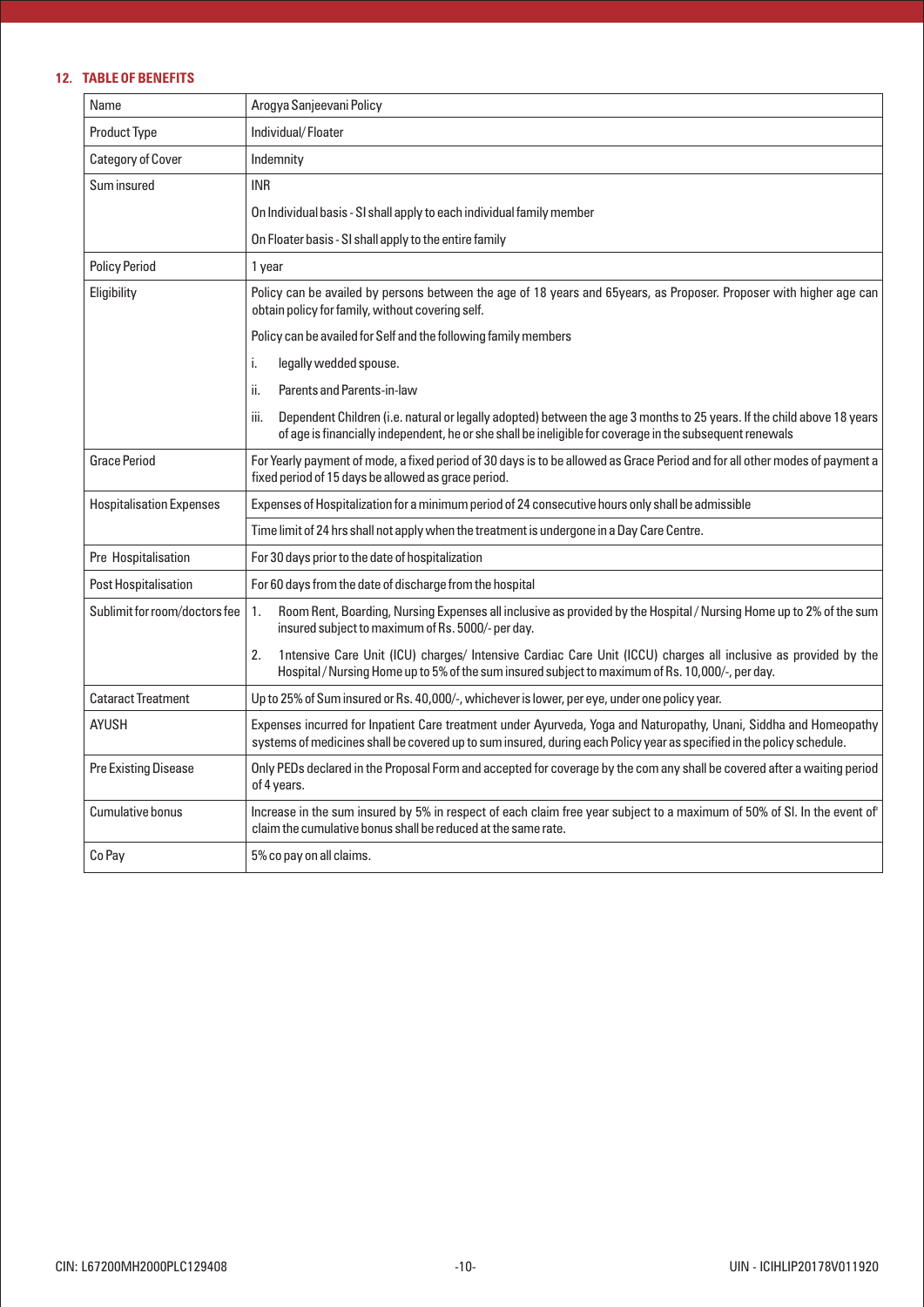# **12. TABLE OF BENEFITS**

| Name                            | Arogya Sanjeevani Policy                                                                                                                                                                                                                   |  |  |  |  |
|---------------------------------|--------------------------------------------------------------------------------------------------------------------------------------------------------------------------------------------------------------------------------------------|--|--|--|--|
| <b>Product Type</b>             | Individual/Floater                                                                                                                                                                                                                         |  |  |  |  |
| <b>Category of Cover</b>        | Indemnity                                                                                                                                                                                                                                  |  |  |  |  |
| Sum insured                     | <b>INR</b>                                                                                                                                                                                                                                 |  |  |  |  |
|                                 | On Individual basis - SI shall apply to each individual family member                                                                                                                                                                      |  |  |  |  |
|                                 | On Floater basis - SI shall apply to the entire family                                                                                                                                                                                     |  |  |  |  |
| <b>Policy Period</b>            | 1 year                                                                                                                                                                                                                                     |  |  |  |  |
| Eligibility                     | Policy can be availed by persons between the age of 18 years and 65years, as Proposer. Proposer with higher age can<br>obtain policy for family, without covering self.                                                                    |  |  |  |  |
|                                 | Policy can be availed for Self and the following family members                                                                                                                                                                            |  |  |  |  |
|                                 | i.<br>legally wedded spouse.                                                                                                                                                                                                               |  |  |  |  |
|                                 | ii.<br>Parents and Parents-in-law                                                                                                                                                                                                          |  |  |  |  |
|                                 | iii.<br>Dependent Children (i.e. natural or legally adopted) between the age 3 months to 25 years. If the child above 18 years<br>of age is financially independent, he or she shall be ineligible for coverage in the subsequent renewals |  |  |  |  |
| <b>Grace Period</b>             | For Yearly payment of mode, a fixed period of 30 days is to be allowed as Grace Period and for all other modes of payment a<br>fixed period of 15 days be allowed as grace period.                                                         |  |  |  |  |
| <b>Hospitalisation Expenses</b> | Expenses of Hospitalization for a minimum period of 24 consecutive hours only shall be admissible                                                                                                                                          |  |  |  |  |
|                                 | Time limit of 24 hrs shall not apply when the treatment is undergone in a Day Care Centre.                                                                                                                                                 |  |  |  |  |
| Pre Hospitalisation             | For 30 days prior to the date of hospitalization                                                                                                                                                                                           |  |  |  |  |
| Post Hospitalisation            | For 60 days from the date of discharge from the hospital                                                                                                                                                                                   |  |  |  |  |
| Sublimit for room/doctors fee   | Room Rent, Boarding, Nursing Expenses all inclusive as provided by the Hospital / Nursing Home up to 2% of the sum<br>1.<br>insured subject to maximum of Rs. 5000/- per day.                                                              |  |  |  |  |
|                                 | 2.<br>1ntensive Care Unit (ICU) charges/ Intensive Cardiac Care Unit (ICCU) charges all inclusive as provided by the<br>Hospital/Nursing Home up to 5% of the sum insured subject to maximum of Rs. 10,000/-, per day.                     |  |  |  |  |
| <b>Cataract Treatment</b>       | Up to 25% of Sum insured or Rs. 40,000/-, whichever is lower, per eye, under one policy year.                                                                                                                                              |  |  |  |  |
| <b>AYUSH</b>                    | Expenses incurred for Inpatient Care treatment under Ayurveda, Yoga and Naturopathy, Unani, Siddha and Homeopathy<br>systems of medicines shall be covered up to sum insured, during each Policy year as specified in the policy schedule. |  |  |  |  |
| Pre Existing Disease            | Only PEDs declared in the Proposal Form and accepted for coverage by the com any shall be covered after a waiting period<br>of 4 years.                                                                                                    |  |  |  |  |
| <b>Cumulative bonus</b>         | Increase in the sum insured by 5% in respect of each claim free year subject to a maximum of 50% of SI. In the event of<br>claim the cumulative bonus shall be reduced at the same rate.                                                   |  |  |  |  |
| Co Pay                          | 5% co pay on all claims.                                                                                                                                                                                                                   |  |  |  |  |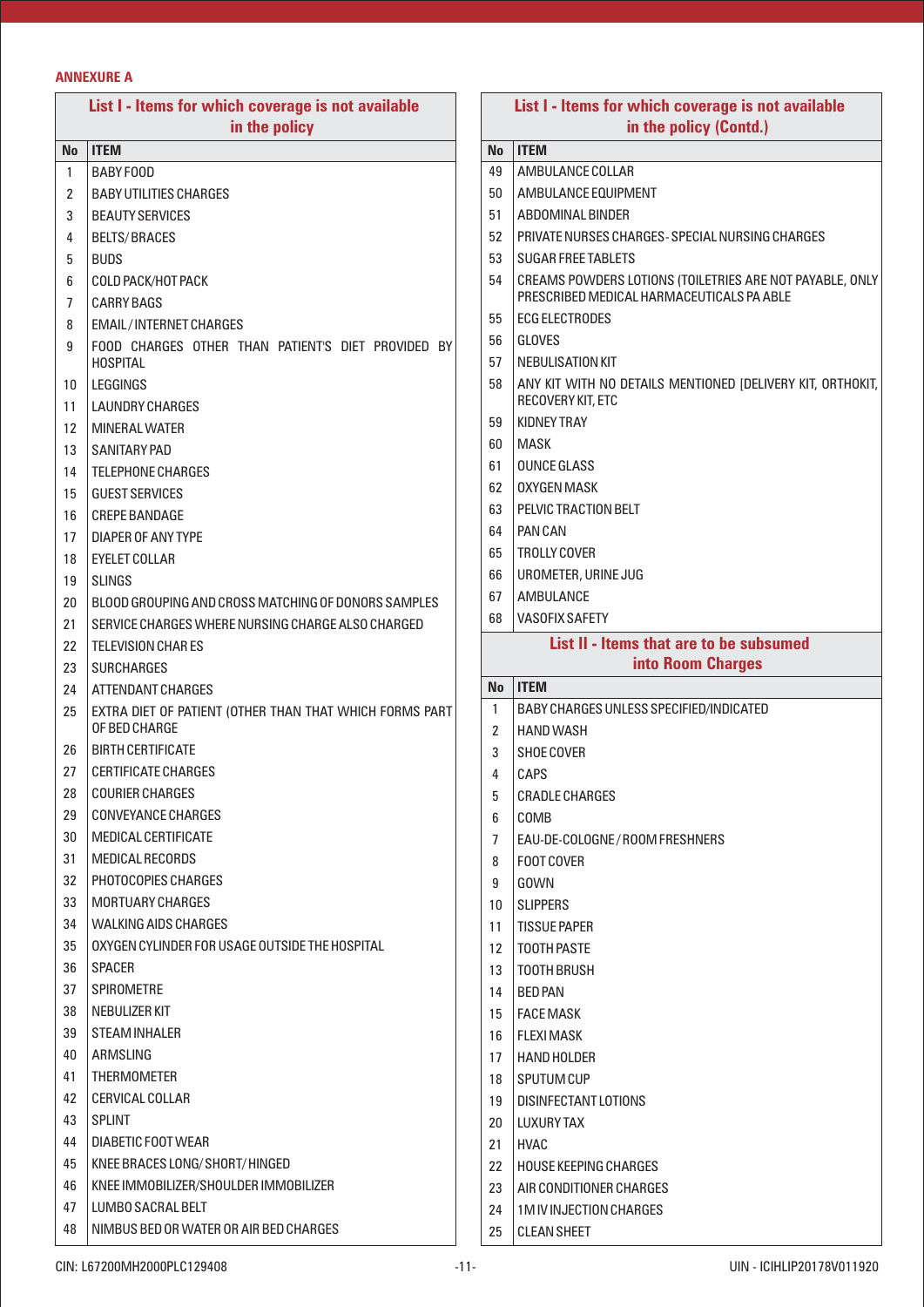# **ANNEXURE A**

| List I - Items for which coverage is not available |                                                         |  | List I - Items for which coverage is not available |                                                                                                       |  |  |
|----------------------------------------------------|---------------------------------------------------------|--|----------------------------------------------------|-------------------------------------------------------------------------------------------------------|--|--|
| in the policy                                      |                                                         |  | in the policy (Contd.)                             |                                                                                                       |  |  |
| No.                                                | <b>ITEM</b>                                             |  | No                                                 | <b>ITEM</b>                                                                                           |  |  |
| $\mathbf{1}$                                       | BABY FOOD                                               |  | 49                                                 | AMBULANCE COLLAR                                                                                      |  |  |
| 2                                                  | <b>BABY UTILITIES CHARGES</b>                           |  | 50                                                 | AMBULANCE EQUIPMENT                                                                                   |  |  |
| 3                                                  | <b>BEAUTY SERVICES</b>                                  |  | 51                                                 | ABDOMINAL BINDER                                                                                      |  |  |
| 4                                                  | <b>BELTS/BRACES</b>                                     |  | 52                                                 | PRIVATE NURSES CHARGES-SPECIAL NURSING CHARGES                                                        |  |  |
| 5                                                  | <b>BUDS</b>                                             |  | 53                                                 | <b>SUGAR FREE TABLETS</b>                                                                             |  |  |
| 6<br>7                                             | COLD PACK/HOT PACK<br><b>CARRY BAGS</b>                 |  | 54                                                 | CREAMS POWDERS LOTIONS (TOILETRIES ARE NOT PAYABLE, ONLY<br>PRESCRIBED MEDICAL HARMACEUTICALS PA ABLE |  |  |
| 8                                                  | <b>EMAIL/INTERNET CHARGES</b>                           |  | 55                                                 | <b>ECG ELECTRODES</b>                                                                                 |  |  |
| 9                                                  | FOOD CHARGES OTHER THAN PATIENT'S DIET PROVIDED BY      |  | 56                                                 | <b>GLOVES</b>                                                                                         |  |  |
|                                                    | <b>HOSPITAL</b>                                         |  | 57                                                 | NEBULISATION KIT                                                                                      |  |  |
| 10                                                 | LEGGINGS                                                |  | 58                                                 | ANY KIT WITH NO DETAILS MENTIONED [DELIVERY KIT, ORTHOKIT,                                            |  |  |
| 11                                                 | <b>LAUNDRY CHARGES</b>                                  |  |                                                    | RECOVERY KIT, ETC                                                                                     |  |  |
| 12                                                 | <b>MINERAL WATER</b>                                    |  | 59                                                 | <b>KIDNEY TRAY</b>                                                                                    |  |  |
| 13                                                 | <b>SANITARY PAD</b>                                     |  | 60                                                 | <b>MASK</b>                                                                                           |  |  |
| 14                                                 | <b>TELEPHONE CHARGES</b>                                |  | 61                                                 | <b>OUNCE GLASS</b>                                                                                    |  |  |
| 15                                                 | <b>GUEST SERVICES</b>                                   |  | 62                                                 | <b>OXYGEN MASK</b>                                                                                    |  |  |
| 16                                                 | <b>CREPE BANDAGE</b>                                    |  | 63                                                 | PELVIC TRACTION BELT                                                                                  |  |  |
| 17                                                 | DIAPER OF ANY TYPE                                      |  | 64                                                 | <b>PAN CAN</b>                                                                                        |  |  |
| 18                                                 | <b>EYELET COLLAR</b>                                    |  | 65                                                 | <b>TROLLY COVER</b>                                                                                   |  |  |
| 19                                                 | <b>SLINGS</b>                                           |  | 66                                                 | UROMETER, URINE JUG                                                                                   |  |  |
| 20                                                 | BLOOD GROUPING AND CROSS MATCHING OF DONORS SAMPLES     |  | 67                                                 | AMBULANCE                                                                                             |  |  |
| 21                                                 | SERVICE CHARGES WHERE NURSING CHARGE ALSO CHARGED       |  | 68                                                 | <b>VASOFIX SAFETY</b>                                                                                 |  |  |
| 22                                                 | <b>TELEVISION CHARES</b>                                |  |                                                    | List II - Items that are to be subsumed                                                               |  |  |
| 23                                                 | <b>SURCHARGES</b>                                       |  |                                                    | into Room Charges                                                                                     |  |  |
| 24                                                 | ATTENDANT CHARGES                                       |  | <b>No</b>                                          | <b>ITEM</b>                                                                                           |  |  |
| 25                                                 | EXTRA DIET OF PATIENT (OTHER THAN THAT WHICH FORMS PART |  | $\mathbf{1}$                                       | BABY CHARGES UNLESS SPECIFIED/INDICATED                                                               |  |  |
|                                                    | OF BED CHARGE                                           |  | 2                                                  | <b>HAND WASH</b>                                                                                      |  |  |
| 26                                                 | <b>BIRTH CERTIFICATE</b>                                |  | 3                                                  | <b>SHOE COVER</b>                                                                                     |  |  |
| 27                                                 | <b>CERTIFICATE CHARGES</b>                              |  | 4                                                  | CAPS                                                                                                  |  |  |
| 28                                                 | <b>COURIER CHARGES</b>                                  |  | 5                                                  | <b>CRADLE CHARGES</b>                                                                                 |  |  |
| 29                                                 | CONVEYANCE CHARGES                                      |  | 6                                                  | COMB                                                                                                  |  |  |
| 30                                                 | MEDICAL CERTIFICATE                                     |  | 7                                                  | EAU-DE-COLOGNE/ROOM FRESHNERS                                                                         |  |  |
| 31                                                 | <b>MEDICAL RECORDS</b>                                  |  | 8                                                  | FOOT COVER                                                                                            |  |  |
| 32                                                 | PHOTOCOPIES CHARGES                                     |  | 9                                                  | GOWN                                                                                                  |  |  |
| 33                                                 | MORTUARY CHARGES                                        |  | 10                                                 | <b>SLIPPERS</b>                                                                                       |  |  |
| 34                                                 | <b>WALKING AIDS CHARGES</b>                             |  | 11                                                 | <b>TISSUE PAPER</b>                                                                                   |  |  |
| 35                                                 | OXYGEN CYLINDER FOR USAGE OUTSIDE THE HOSPITAL          |  | 12                                                 | <b>TOOTH PASTE</b>                                                                                    |  |  |
| 36                                                 | <b>SPACER</b>                                           |  | 13                                                 | <b>TOOTH BRUSH</b>                                                                                    |  |  |
| 37                                                 | <b>SPIROMETRE</b>                                       |  | 14                                                 | BED PAN                                                                                               |  |  |
| 38                                                 | NEBULIZER KIT                                           |  | 15                                                 | FACE MASK                                                                                             |  |  |
| 39                                                 | <b>STEAM INHALER</b>                                    |  | 16                                                 | I FLEXI MASK                                                                                          |  |  |
| 40                                                 | ARMSLING                                                |  | 17                                                 | HAND HOLDER                                                                                           |  |  |
| 41                                                 | <b>THERMOMETER</b>                                      |  | 18                                                 | SPUTUM CUP                                                                                            |  |  |
| 42                                                 | CERVICAL COLLAR                                         |  | 19                                                 | DISINFECTANT LOTIONS                                                                                  |  |  |
| 43                                                 | <b>SPLINT</b>                                           |  | 20                                                 | I LUXURY TAX                                                                                          |  |  |
| 44                                                 | DIABETIC FOOT WEAR                                      |  | 21                                                 | HVAC                                                                                                  |  |  |
| 45                                                 | KNEE BRACES LONG/SHORT/HINGED                           |  | 22                                                 | HOUSE KEEPING CHARGES                                                                                 |  |  |
| 46                                                 | KNEE IMMOBILIZER/SHOULDER IMMOBILIZER                   |  | 23                                                 | AIR CONDITIONER CHARGES                                                                               |  |  |
| 47                                                 | LUMBO SACRAL BELT                                       |  | 24                                                 | 1 M IV INJECTION CHARGES                                                                              |  |  |
| 48                                                 | NIMBUS BED OR WATER OR AIR BED CHARGES                  |  | 25                                                 | <b>CLEAN SHEET</b>                                                                                    |  |  |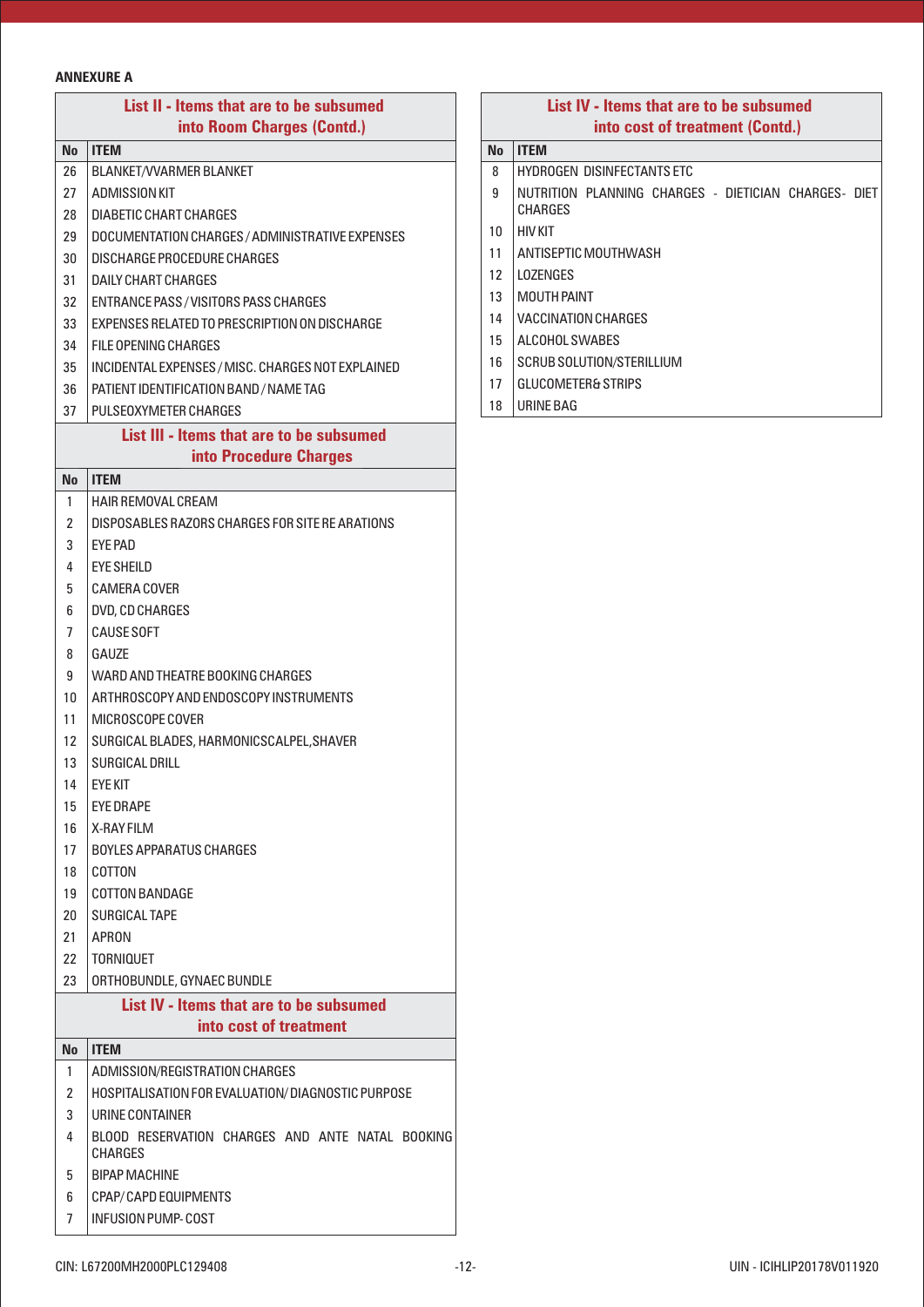# **ANNEXURE A**

|                | List II - Items that are to be subsumed<br>into Room Charges (Contd.) |  |  |  |  |
|----------------|-----------------------------------------------------------------------|--|--|--|--|
| No             | <b>ITEM</b>                                                           |  |  |  |  |
| 26             | <b>BLANKET/VVARMER BLANKET</b>                                        |  |  |  |  |
| 27             | ADMISSION KIT                                                         |  |  |  |  |
| 28             | <b>DIABETIC CHART CHARGES</b>                                         |  |  |  |  |
| 29             | DOCUMENTATION CHARGES / ADMINISTRATIVE EXPENSES                       |  |  |  |  |
| 30             | DISCHARGE PROCEDURE CHARGES                                           |  |  |  |  |
| 31             | DAILY CHART CHARGES                                                   |  |  |  |  |
| 32             | <b>ENTRANCE PASS/VISITORS PASS CHARGES</b>                            |  |  |  |  |
| 33             | EXPENSES RELATED TO PRESCRIPTION ON DISCHARGE                         |  |  |  |  |
| 34             | FILE OPENING CHARGES                                                  |  |  |  |  |
| 35             | INCIDENTAL EXPENSES / MISC. CHARGES NOT EXPLAINED                     |  |  |  |  |
| 36             | PATIENT IDENTIFICATION BAND / NAME TAG                                |  |  |  |  |
| 37             | PULSEOXYMETER CHARGES                                                 |  |  |  |  |
|                | List III - Items that are to be subsumed                              |  |  |  |  |
|                | into Procedure Charges                                                |  |  |  |  |
| <b>No</b>      | <b>ITEM</b>                                                           |  |  |  |  |
| 1              | <b>HAIR REMOVAL CREAM</b>                                             |  |  |  |  |
| 2              | DISPOSABLES RAZORS CHARGES FOR SITE RE ARATIONS                       |  |  |  |  |
| 3              | <b>EYE PAD</b>                                                        |  |  |  |  |
| 4              | EYE SHEILD                                                            |  |  |  |  |
| 5              | <b>CAMERA COVER</b>                                                   |  |  |  |  |
| 6              | DVD, CD CHARGES                                                       |  |  |  |  |
| 7              | <b>CAUSE SOFT</b>                                                     |  |  |  |  |
| 8              | GAUZE                                                                 |  |  |  |  |
| 9              | WARD AND THEATRE BOOKING CHARGES                                      |  |  |  |  |
| 10             | ARTHROSCOPY AND ENDOSCOPY INSTRUMENTS                                 |  |  |  |  |
| 11             | MICROSCOPE COVER                                                      |  |  |  |  |
| 12             | SURGICAL BLADES, HARMONICSCALPEL, SHAVER                              |  |  |  |  |
| 13             | <b>SURGICAL DRILL</b>                                                 |  |  |  |  |
| 14             | <b>EYE KIT</b>                                                        |  |  |  |  |
| 15             | <b>EYE DRAPE</b>                                                      |  |  |  |  |
| 16             | <b>X-RAY FILM</b>                                                     |  |  |  |  |
| 17             | <b>BOYLES APPARATUS CHARGES</b>                                       |  |  |  |  |
| 18             | COTTON                                                                |  |  |  |  |
| 19             | <b>COTTON BANDAGE</b>                                                 |  |  |  |  |
| 20             | <b>SURGICAL TAPE</b>                                                  |  |  |  |  |
| 21             | APRON                                                                 |  |  |  |  |
| 22             | <b>TORNIQUET</b>                                                      |  |  |  |  |
| 23             | ORTHOBUNDLE, GYNAEC BUNDLE                                            |  |  |  |  |
|                | List IV - Items that are to be subsumed                               |  |  |  |  |
|                | into cost of treatment                                                |  |  |  |  |
| No             | <b>ITEM</b>                                                           |  |  |  |  |
| 1              | ADMISSION/REGISTRATION CHARGES                                        |  |  |  |  |
| $\overline{2}$ | HOSPITALISATION FOR EVALUATION/DIAGNOSTIC PURPOSE                     |  |  |  |  |
| 3              | URINE CONTAINER                                                       |  |  |  |  |
| 4              | BLOOD RESERVATION CHARGES AND ANTE NATAL BOOKING<br>CHARGES           |  |  |  |  |
| 5              | <b>BIPAP MACHINE</b>                                                  |  |  |  |  |
| 6              | CPAP/CAPD EQUIPMENTS                                                  |  |  |  |  |
| 7              | <b>INFUSION PUMP-COST</b>                                             |  |  |  |  |

# **List IV - Items that are to be subsumed into cost of treatment (Contd.)**

# **No ITEM**

- 8 | HYDROGEN DISINFECTANTS ETC
- 9 | NUTRITION PLANNING CHARGES DIETICIAN CHARGES- DIET CHARGES
- 10 HIV KIT
- 11 | ANTISEPTIC MOUTHWASH
- LOZENGES
- MOUTH PAINT
- 14 | VACCINATION CHARGES
- ALCOHOL SWABES
- 16 SCRUB SOLUTION/STERILLIUM
- 17 GLUCOMETER& STRIPS
- URINE BAG